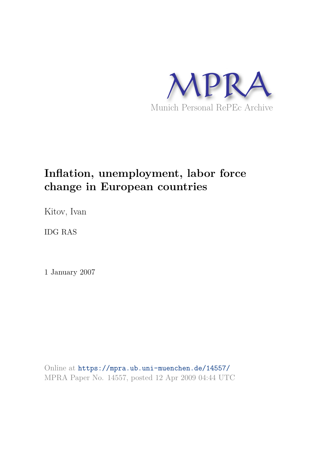

# **Inflation, unemployment, labor force change in European countries**

Kitov, Ivan

IDG RAS

1 January 2007

Online at https://mpra.ub.uni-muenchen.de/14557/ MPRA Paper No. 14557, posted 12 Apr 2009 04:44 UTC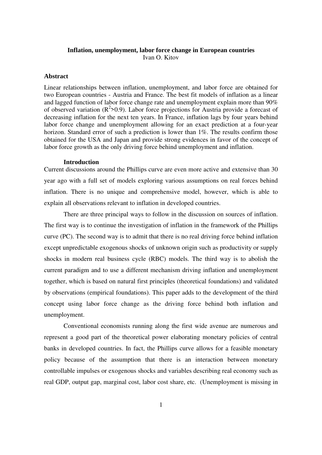## **Inflation, unemployment, labor force change in European countries**  Ivan O. Kitov

## **Abstract**

Linear relationships between inflation, unemployment, and labor force are obtained for two European countries - Austria and France. The best fit models of inflation as a linear and lagged function of labor force change rate and unemployment explain more than 90% of observed variation  $(R^2>0.9)$ . Labor force projections for Austria provide a forecast of decreasing inflation for the next ten years. In France, inflation lags by four years behind labor force change and unemployment allowing for an exact prediction at a four-year horizon. Standard error of such a prediction is lower than 1%. The results confirm those obtained for the USA and Japan and provide strong evidences in favor of the concept of labor force growth as the only driving force behind unemployment and inflation.

#### **Introduction**

Current discussions around the Phillips curve are even more active and extensive than 30 year ago with a full set of models exploring various assumptions on real forces behind inflation. There is no unique and comprehensive model, however, which is able to explain all observations relevant to inflation in developed countries.

 There are three principal ways to follow in the discussion on sources of inflation. The first way is to continue the investigation of inflation in the framework of the Phillips curve (PC). The second way is to admit that there is no real driving force behind inflation except unpredictable exogenous shocks of unknown origin such as productivity or supply shocks in modern real business cycle (RBC) models. The third way is to abolish the current paradigm and to use a different mechanism driving inflation and unemployment together, which is based on natural first principles (theoretical foundations) and validated by observations (empirical foundations). This paper adds to the development of the third concept using labor force change as the driving force behind both inflation and unemployment.

 Conventional economists running along the first wide avenue are numerous and represent a good part of the theoretical power elaborating monetary policies of central banks in developed countries. In fact, the Phillips curve allows for a feasible monetary policy because of the assumption that there is an interaction between monetary controllable impulses or exogenous shocks and variables describing real economy such as real GDP, output gap, marginal cost, labor cost share, etc. (Unemployment is missing in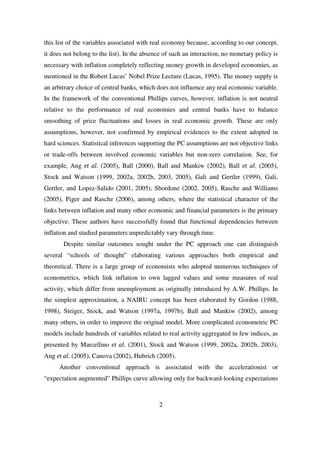this list of the variables associated with real economy because, according to our concept, it does not belong to the list). In the absence of such an interaction, no monetary policy is necessary with inflation completely reflecting money growth in developed economies, as mentioned in the Robert Lucas' Nobel Prize Lecture (Lucas, 1995). The money supply is an arbitrary choice of central banks, which does not influence any real economic variable. In the framework of the conventional Phillips curves, however, inflation is not neutral relative to the performance of real economies and central banks have to balance smoothing of price fluctuations and losses in real economic growth. These are only assumptions, however, not confirmed by empirical evidences to the extent adopted in hard sciences. Statistical inferences supporting the PC assumptions are not objective links or trade-offs between involved economic variables but non-zero correlation. See, for example, Ang *et al*. (2005), Ball (2000), Ball and Mankiw (2002), Ball *et al*. (2005), Stock and Watson (1999, 2002a, 2002b, 2003, 2005), Gali and Gertler (1999), Gali, Gertler, and Lopez-Salido (2001, 2005), Sbordone (2002, 2005), Rasche and Williams (2005), Piger and Rasche (2006), among others, where the statistical character of the links between inflation and many other economic and financial parameters is the primary objective. These authors have successfully found that functional dependencies between inflation and studied parameters unpredictably vary through time.

 Despite similar outcomes sought under the PC approach one can distinguish several "schools of thought" elaborating various approaches both empirical and theoretical. There is a large group of economists who adopted numerous techniques of econometrics, which link inflation to own lagged values and some measures of real activity, which differ from unemployment as originally introduced by A.W. Phillips. In the simplest approximation, a NAIRU concept has been elaborated by Gordon (1988, 1998), Steiger, Stock, and Watson (1997a, 1997b), Ball and Mankiw (2002), among many others, in order to improve the original model. More complicated econometric PC models include hundreds of variables related to real activity aggregated in few indices, as presented by Marcellino *et al.* (2001), Stock and Watson (1999, 2002a, 2002b, 2003), Ang *et al*. (2005), Canova (2002), Hubrich (2005).

Another conventional approach is associated with the accelerationist or "expectation augmented" Phillips curve allowing only for backward-looking expectations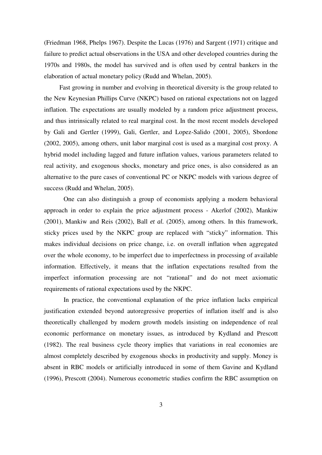(Friedman 1968, Phelps 1967). Despite the Lucas (1976) and Sargent (1971) critique and failure to predict actual observations in the USA and other developed countries during the 1970s and 1980s, the model has survived and is often used by central bankers in the elaboration of actual monetary policy (Rudd and Whelan, 2005).

Fast growing in number and evolving in theoretical diversity is the group related to the New Keynesian Phillips Curve (NKPC) based on rational expectations not on lagged inflation. The expectations are usually modeled by a random price adjustment process, and thus intrinsically related to real marginal cost. In the most recent models developed by Gali and Gertler (1999), Gali, Gertler, and Lopez-Salido (2001, 2005), Sbordone (2002, 2005), among others, unit labor marginal cost is used as a marginal cost proxy. A hybrid model including lagged and future inflation values, various parameters related to real activity, and exogenous shocks, monetary and price ones, is also considered as an alternative to the pure cases of conventional PC or NKPC models with various degree of success (Rudd and Whelan, 2005).

 One can also distinguish a group of economists applying a modern behavioral approach in order to explain the price adjustment process - Akerlof (2002), Mankiw (2001), Mankiw and Reis (2002), Ball *et al.* (2005), among others. In this framework, sticky prices used by the NKPC group are replaced with "sticky" information. This makes individual decisions on price change, i.e. on overall inflation when aggregated over the whole economy, to be imperfect due to imperfectness in processing of available information. Effectively, it means that the inflation expectations resulted from the imperfect information processing are not "rational" and do not meet axiomatic requirements of rational expectations used by the NKPC.

 In practice, the conventional explanation of the price inflation lacks empirical justification extended beyond autoregressive properties of inflation itself and is also theoretically challenged by modern growth models insisting on independence of real economic performance on monetary issues, as introduced by Kydland and Prescott (1982). The real business cycle theory implies that variations in real economies are almost completely described by exogenous shocks in productivity and supply. Money is absent in RBC models or artificially introduced in some of them Gavine and Kydland (1996), Prescott (2004). Numerous econometric studies confirm the RBC assumption on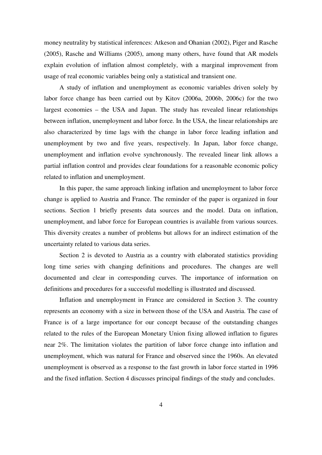money neutrality by statistical inferences: Atkeson and Ohanian (2002), Piger and Rasche (2005), Rasche and Williams (2005), among many others, have found that AR models explain evolution of inflation almost completely, with a marginal improvement from usage of real economic variables being only a statistical and transient one.

A study of inflation and unemployment as economic variables driven solely by labor force change has been carried out by Kitov (2006a, 2006b, 2006c) for the two largest economies – the USA and Japan. The study has revealed linear relationships between inflation, unemployment and labor force. In the USA, the linear relationships are also characterized by time lags with the change in labor force leading inflation and unemployment by two and five years, respectively. In Japan, labor force change, unemployment and inflation evolve synchronously. The revealed linear link allows a partial inflation control and provides clear foundations for a reasonable economic policy related to inflation and unemployment.

In this paper, the same approach linking inflation and unemployment to labor force change is applied to Austria and France. The reminder of the paper is organized in four sections. Section 1 briefly presents data sources and the model. Data on inflation, unemployment, and labor force for European countries is available from various sources. This diversity creates a number of problems but allows for an indirect estimation of the uncertainty related to various data series.

Section 2 is devoted to Austria as a country with elaborated statistics providing long time series with changing definitions and procedures. The changes are well documented and clear in corresponding curves. The importance of information on definitions and procedures for a successful modelling is illustrated and discussed.

Inflation and unemployment in France are considered in Section 3. The country represents an economy with a size in between those of the USA and Austria. The case of France is of a large importance for our concept because of the outstanding changes related to the rules of the European Monetary Union fixing allowed inflation to figures near 2%. The limitation violates the partition of labor force change into inflation and unemployment, which was natural for France and observed since the 1960s. An elevated unemployment is observed as a response to the fast growth in labor force started in 1996 and the fixed inflation. Section 4 discusses principal findings of the study and concludes.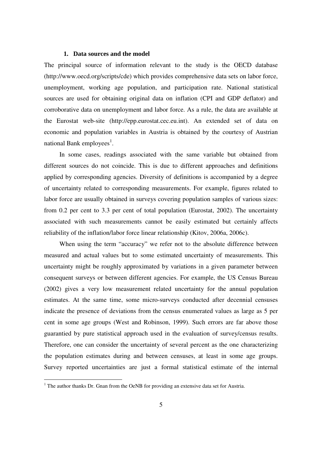## **1. Data sources and the model**

The principal source of information relevant to the study is the OECD database (http://www.oecd.org/scripts/cde) which provides comprehensive data sets on labor force, unemployment, working age population, and participation rate. National statistical sources are used for obtaining original data on inflation (CPI and GDP deflator) and corroborative data on unemployment and labor force. As a rule, the data are available at the Eurostat web-site (http://epp.eurostat.cec.eu.int). An extended set of data on economic and population variables in Austria is obtained by the courtesy of Austrian national Bank employees $^1$ .

In some cases, readings associated with the same variable but obtained from different sources do not coincide. This is due to different approaches and definitions applied by corresponding agencies. Diversity of definitions is accompanied by a degree of uncertainty related to corresponding measurements. For example, figures related to labor force are usually obtained in surveys covering population samples of various sizes: from 0.2 per cent to 3.3 per cent of total population (Eurostat, 2002). The uncertainty associated with such measurements cannot be easily estimated but certainly affects reliability of the inflation/labor force linear relationship (Kitov, 2006a, 2006c).

When using the term "accuracy" we refer not to the absolute difference between measured and actual values but to some estimated uncertainty of measurements. This uncertainty might be roughly approximated by variations in a given parameter between consequent surveys or between different agencies. For example, the US Census Bureau (2002) gives a very low measurement related uncertainty for the annual population estimates. At the same time, some micro-surveys conducted after decennial censuses indicate the presence of deviations from the census enumerated values as large as 5 per cent in some age groups (West and Robinson, 1999). Such errors are far above those guarantied by pure statistical approach used in the evaluation of survey/census results. Therefore, one can consider the uncertainty of several percent as the one characterizing the population estimates during and between censuses, at least in some age groups. Survey reported uncertainties are just a formal statistical estimate of the internal

 $\overline{a}$ 

 $<sup>1</sup>$  The author thanks Dr. Gnan from the OeNB for providing an extensive data set for Austria.</sup>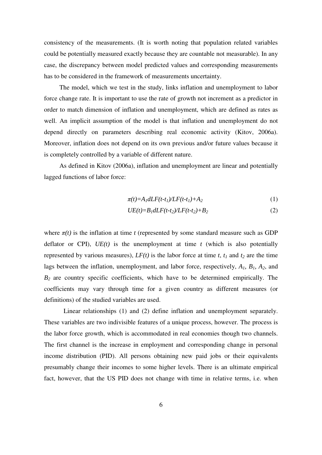consistency of the measurements. (It is worth noting that population related variables could be potentially measured exactly because they are countable not measurable). In any case, the discrepancy between model predicted values and corresponding measurements has to be considered in the framework of measurements uncertainty.

The model, which we test in the study, links inflation and unemployment to labor force change rate. It is important to use the rate of growth not increment as a predictor in order to match dimension of inflation and unemployment, which are defined as rates as well. An implicit assumption of the model is that inflation and unemployment do not depend directly on parameters describing real economic activity (Kitov, 2006a). Moreover, inflation does not depend on its own previous and/or future values because it is completely controlled by a variable of different nature.

As defined in Kitov (2006a), inflation and unemployment are linear and potentially lagged functions of labor force:

$$
\pi(t) = A_1 dLF(t - t_1)/LF(t - t_1) + A_2 \tag{1}
$$

$$
UE(t)=B_1dLF(t-t_2)/LF(t-t_2)+B_2
$$
\n<sup>(2)</sup>

where  $\pi(t)$  is the inflation at time *t* (represented by some standard measure such as GDP deflator or CPI), *UE(t)* is the unemployment at time *t* (which is also potentially represented by various measures),  $LF(t)$  is the labor force at time *t*,  $t_1$  and  $t_2$  are the time lags between the inflation, unemployment, and labor force, respectively, *A1, B1, A2*, and *B2* are country specific coefficients, which have to be determined empirically. The coefficients may vary through time for a given country as different measures (or definitions) of the studied variables are used.

 Linear relationships (1) and (2) define inflation and unemployment separately. These variables are two indivisible features of a unique process, however. The process is the labor force growth, which is accommodated in real economies though two channels. The first channel is the increase in employment and corresponding change in personal income distribution (PID). All persons obtaining new paid jobs or their equivalents presumably change their incomes to some higher levels. There is an ultimate empirical fact, however, that the US PID does not change with time in relative terms, i.e. when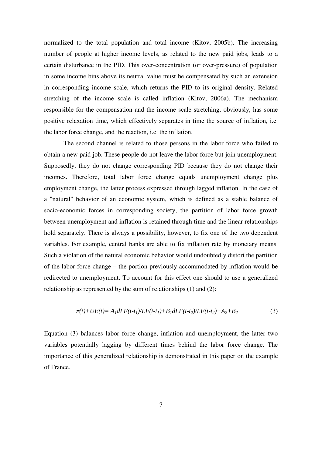normalized to the total population and total income (Kitov, 2005b). The increasing number of people at higher income levels, as related to the new paid jobs, leads to a certain disturbance in the PID. This over-concentration (or over-pressure) of population in some income bins above its neutral value must be compensated by such an extension in corresponding income scale, which returns the PID to its original density. Related stretching of the income scale is called inflation (Kitov, 2006a). The mechanism responsible for the compensation and the income scale stretching, obviously, has some positive relaxation time, which effectively separates in time the source of inflation, i.e. the labor force change, and the reaction, i.e. the inflation.

 The second channel is related to those persons in the labor force who failed to obtain a new paid job. These people do not leave the labor force but join unemployment. Supposedly, they do not change corresponding PID because they do not change their incomes. Therefore, total labor force change equals unemployment change plus employment change, the latter process expressed through lagged inflation. In the case of a "natural" behavior of an economic system, which is defined as a stable balance of socio-economic forces in corresponding society, the partition of labor force growth between unemployment and inflation is retained through time and the linear relationships hold separately. There is always a possibility, however, to fix one of the two dependent variables. For example, central banks are able to fix inflation rate by monetary means. Such a violation of the natural economic behavior would undoubtedly distort the partition of the labor force change – the portion previously accommodated by inflation would be redirected to unemployment. To account for this effect one should to use a generalized relationship as represented by the sum of relationships (1) and (2):

$$
\pi(t) + UE(t) = A_1 dLF(t - t_1) / LF(t - t_1) + B_1 dLF(t - t_2) / LF(t - t_2) + A_2 + B_2
$$
\n(3)

Equation (3) balances labor force change, inflation and unemployment, the latter two variables potentially lagging by different times behind the labor force change. The importance of this generalized relationship is demonstrated in this paper on the example of France.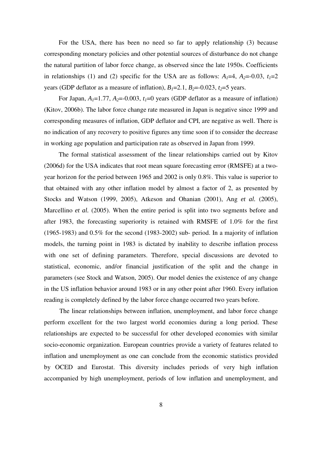For the USA, there has been no need so far to apply relationship (3) because corresponding monetary policies and other potential sources of disturbance do not change the natural partition of labor force change, as observed since the late 1950s. Coefficients in relationships (1) and (2) specific for the USA are as follows:  $A_1=4$ ,  $A_2=-0.03$ ,  $t_1=2$ years (GDP deflator as a measure of inflation),  $B_1 = 2.1$ ,  $B_2 = -0.023$ ,  $t_2 = 5$  years.

For Japan,  $A_1=1.77$ ,  $A_2=-0.003$ ,  $t_1=0$  years (GDP deflator as a measure of inflation) (Kitov, 2006b). The labor force change rate measured in Japan is negative since 1999 and corresponding measures of inflation, GDP deflator and CPI, are negative as well. There is no indication of any recovery to positive figures any time soon if to consider the decrease in working age population and participation rate as observed in Japan from 1999.

The formal statistical assessment of the linear relationships carried out by Kitov (2006d) for the USA indicates that root mean square forecasting error (RMSFE) at a twoyear horizon for the period between 1965 and 2002 is only 0.8%. This value is superior to that obtained with any other inflation model by almost a factor of 2, as presented by Stocks and Watson (1999, 2005), Atkeson and Ohanian (2001), Ang *et al.* (2005), Marcellino *et al.* (2005). When the entire period is split into two segments before and after 1983, the forecasting superiority is retained with RMSFE of 1.0% for the first (1965-1983) and 0.5% for the second (1983-2002) sub- period. In a majority of inflation models, the turning point in 1983 is dictated by inability to describe inflation process with one set of defining parameters. Therefore, special discussions are devoted to statistical, economic, and/or financial justification of the split and the change in parameters (see Stock and Watson, 2005). Our model denies the existence of any change in the US inflation behavior around 1983 or in any other point after 1960. Every inflation reading is completely defined by the labor force change occurred two years before.

The linear relationships between inflation, unemployment, and labor force change perform excellent for the two largest world economies during a long period. These relationships are expected to be successful for other developed economies with similar socio-economic organization. European countries provide a variety of features related to inflation and unemployment as one can conclude from the economic statistics provided by OCED and Eurostat. This diversity includes periods of very high inflation accompanied by high unemployment, periods of low inflation and unemployment, and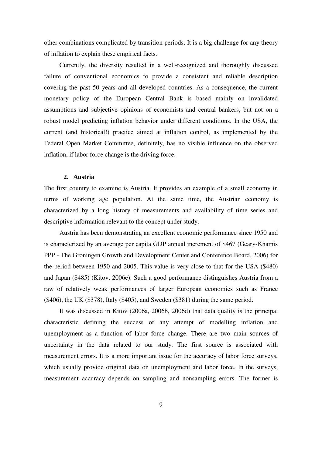other combinations complicated by transition periods. It is a big challenge for any theory of inflation to explain these empirical facts.

Currently, the diversity resulted in a well-recognized and thoroughly discussed failure of conventional economics to provide a consistent and reliable description covering the past 50 years and all developed countries. As a consequence, the current monetary policy of the European Central Bank is based mainly on invalidated assumptions and subjective opinions of economists and central bankers, but not on a robust model predicting inflation behavior under different conditions. In the USA, the current (and historical!) practice aimed at inflation control, as implemented by the Federal Open Market Committee, definitely, has no visible influence on the observed inflation, if labor force change is the driving force.

## **2. Austria**

The first country to examine is Austria. It provides an example of a small economy in terms of working age population. At the same time, the Austrian economy is characterized by a long history of measurements and availability of time series and descriptive information relevant to the concept under study.

Austria has been demonstrating an excellent economic performance since 1950 and is characterized by an average per capita GDP annual increment of \$467 (Geary-Khamis PPP - The Groningen Growth and Development Center and Conference Board, 2006) for the period between 1950 and 2005. This value is very close to that for the USA (\$480) and Japan (\$485) (Kitov, 2006e). Such a good performance distinguishes Austria from a raw of relatively weak performances of larger European economies such as France (\$406), the UK (\$378), Italy (\$405), and Sweden (\$381) during the same period.

It was discussed in Kitov (2006a, 2006b, 2006d) that data quality is the principal characteristic defining the success of any attempt of modelling inflation and unemployment as a function of labor force change. There are two main sources of uncertainty in the data related to our study. The first source is associated with measurement errors. It is a more important issue for the accuracy of labor force surveys, which usually provide original data on unemployment and labor force. In the surveys, measurement accuracy depends on sampling and nonsampling errors. The former is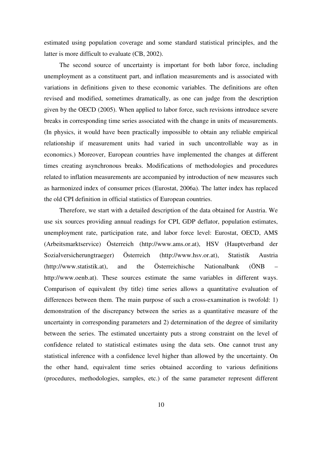estimated using population coverage and some standard statistical principles, and the latter is more difficult to evaluate (CB, 2002).

The second source of uncertainty is important for both labor force, including unemployment as a constituent part, and inflation measurements and is associated with variations in definitions given to these economic variables. The definitions are often revised and modified, sometimes dramatically, as one can judge from the description given by the OECD (2005). When applied to labor force, such revisions introduce severe breaks in corresponding time series associated with the change in units of measurements. (In physics, it would have been practically impossible to obtain any reliable empirical relationship if measurement units had varied in such uncontrollable way as in economics.) Moreover, European countries have implemented the changes at different times creating asynchronous breaks. Modifications of methodologies and procedures related to inflation measurements are accompanied by introduction of new measures such as harmonized index of consumer prices (Eurostat, 2006a). The latter index has replaced the old CPI definition in official statistics of European countries.

Therefore, we start with a detailed description of the data obtained for Austria. We use six sources providing annual readings for CPI, GDP deflator, population estimates, unemployment rate, participation rate, and labor force level: Eurostat, OECD, AMS (Arbeitsmarktservice) Österreich (http://www.ams.or.at), HSV (Hauptverband der Sozialversicherungtraeger) Österreich (http://www.hsv.or.at), Statistik Austria (http://www.statistik.at), and the Österreichische Nationalbank (ÖNB – http://www.oenb.at). These sources estimate the same variables in different ways. Comparison of equivalent (by title) time series allows a quantitative evaluation of differences between them. The main purpose of such a cross-examination is twofold: 1) demonstration of the discrepancy between the series as a quantitative measure of the uncertainty in corresponding parameters and 2) determination of the degree of similarity between the series. The estimated uncertainty puts a strong constraint on the level of confidence related to statistical estimates using the data sets. One cannot trust any statistical inference with a confidence level higher than allowed by the uncertainty. On the other hand, equivalent time series obtained according to various definitions (procedures, methodologies, samples, etc.) of the same parameter represent different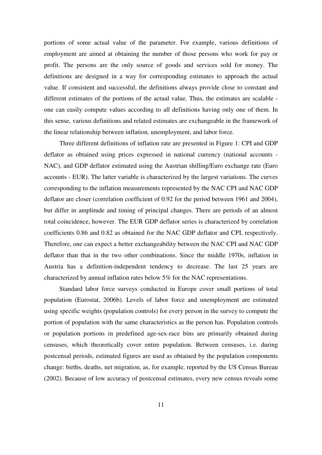portions of some actual value of the parameter. For example, various definitions of employment are aimed at obtaining the number of those persons who work for pay or profit. The persons are the only source of goods and services sold for money. The definitions are designed in a way for corresponding estimates to approach the actual value. If consistent and successful, the definitions always provide close to constant and different estimates of the portions of the actual value. Thus, the estimates are scalable one can easily compute values according to all definitions having only one of them. In this sense, various definitions and related estimates are exchangeable in the framework of the linear relationship between inflation, unemployment, and labor force.

Three different definitions of inflation rate are presented in Figure 1: CPI and GDP deflator as obtained using prices expressed in national currency (national accounts - NAC), and GDP deflator estimated using the Austrian shilling/Euro exchange rate (Euro accounts - EUR). The latter variable is characterized by the largest variations. The curves corresponding to the inflation measurements represented by the NAC CPI and NAC GDP deflator are closer (correlation coefficient of 0.92 for the period between 1961 and 2004), but differ in amplitude and timing of principal changes. There are periods of an almost total coincidence, however. The EUR GDP deflator series is characterized by correlation coefficients 0.86 and 0.82 as obtained for the NAC GDP deflator and CPI, respectively. Therefore, one can expect a better exchangeability between the NAC CPI and NAC GDP deflator than that in the two other combinations. Since the middle 1970s, inflation in Austria has a definition-independent tendency to decrease. The last 25 years are characterized by annual inflation rates below 5% for the NAC representations.

Standard labor force surveys conducted in Europe cover small portions of total population (Eurostat, 2006b). Levels of labor force and unemployment are estimated using specific weights (population controls) for every person in the survey to compute the portion of population with the same characteristics as the person has. Population controls or population portions in predefined age-sex-race bins are primarily obtained during censuses, which theoretically cover entire population. Between censuses, i.e. during postcensal periods, estimated figures are used as obtained by the population components change: births, deaths, net migration, as, for example, reported by the US Census Bureau (2002). Because of low accuracy of postcensal estimates, every new census reveals some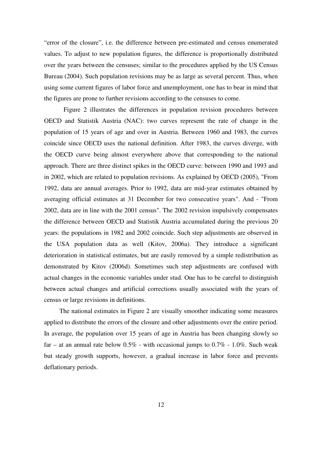"error of the closure", i.e. the difference between pre-estimated and census enumerated values. To adjust to new population figures, the difference is proportionally distributed over the years between the censuses; similar to the procedures applied by the US Census Bureau (2004). Such population revisions may be as large as several percent. Thus, when using some current figures of labor force and unemployment, one has to bear in mind that the figures are prone to further revisions according to the censuses to come.

Figure 2 illustrates the differences in population revision procedures between OECD and Statistik Austria (NAC): two curves represent the rate of change in the population of 15 years of age and over in Austria. Between 1960 and 1983, the curves coincide since OECD uses the national definition. After 1983, the curves diverge, with the OECD curve being almost everywhere above that corresponding to the national approach. There are three distinct spikes in the OECD curve: between 1990 and 1993 and in 2002, which are related to population revisions. As explained by OECD (2005), "From 1992, data are annual averages. Prior to 1992, data are mid-year estimates obtained by averaging official estimates at 31 December for two consecutive years". And - "From 2002, data are in line with the 2001 census". The 2002 revision impulsively compensates the difference between OECD and Statistik Austria accumulated during the previous 20 years: the populations in 1982 and 2002 coincide. Such step adjustments are observed in the USA population data as well (Kitov, 2006a). They introduce a significant deterioration in statistical estimates, but are easily removed by a simple redistribution as demonstrated by Kitov (2006d). Sometimes such step adjustments are confused with actual changes in the economic variables under stud. One has to be careful to distinguish between actual changes and artificial corrections usually associated with the years of census or large revisions in definitions.

The national estimates in Figure 2 are visually smoother indicating some measures applied to distribute the errors of the closure and other adjustments over the entire period. In average, the population over 15 years of age in Austria has been changing slowly so far – at an annual rate below  $0.5\%$  - with occasional jumps to  $0.7\%$  - 1.0%. Such weak but steady growth supports, however, a gradual increase in labor force and prevents deflationary periods.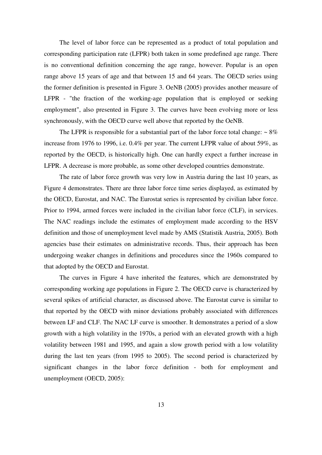The level of labor force can be represented as a product of total population and corresponding participation rate (LFPR) both taken in some predefined age range. There is no conventional definition concerning the age range, however. Popular is an open range above 15 years of age and that between 15 and 64 years. The OECD series using the former definition is presented in Figure 3. OeNB (2005) provides another measure of LFPR - "the fraction of the working-age population that is employed or seeking employment", also presented in Figure 3. The curves have been evolving more or less synchronously, with the OECD curve well above that reported by the OeNB.

The LFPR is responsible for a substantial part of the labor force total change:  $\sim 8\%$ increase from 1976 to 1996, i.e. 0.4% per year. The current LFPR value of about 59%, as reported by the OECD, is historically high. One can hardly expect a further increase in LFPR. A decrease is more probable, as some other developed countries demonstrate.

The rate of labor force growth was very low in Austria during the last 10 years, as Figure 4 demonstrates. There are three labor force time series displayed, as estimated by the OECD, Eurostat, and NAC. The Eurostat series is represented by civilian labor force. Prior to 1994, armed forces were included in the civilian labor force (CLF), in services. The NAC readings include the estimates of employment made according to the HSV definition and those of unemployment level made by AMS (Statistik Austria, 2005). Both agencies base their estimates on administrative records. Thus, their approach has been undergoing weaker changes in definitions and procedures since the 1960s compared to that adopted by the OECD and Eurostat.

The curves in Figure 4 have inherited the features, which are demonstrated by corresponding working age populations in Figure 2. The OECD curve is characterized by several spikes of artificial character, as discussed above. The Eurostat curve is similar to that reported by the OECD with minor deviations probably associated with differences between LF and CLF. The NAC LF curve is smoother. It demonstrates a period of a slow growth with a high volatility in the 1970s, a period with an elevated growth with a high volatility between 1981 and 1995, and again a slow growth period with a low volatility during the last ten years (from 1995 to 2005). The second period is characterized by significant changes in the labor force definition - both for employment and unemployment (OECD, 2005):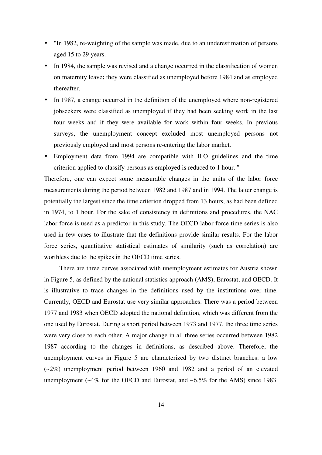- "In 1982, re-weighting of the sample was made, due to an underestimation of persons aged 15 to 29 years.
- In 1984, the sample was revised and a change occurred in the classification of women on maternity leave**:** they were classified as unemployed before 1984 and as employed thereafter.
- In 1987, a change occurred in the definition of the unemployed where non-registered jobseekers were classified as unemployed if they had been seeking work in the last four weeks and if they were available for work within four weeks. In previous surveys, the unemployment concept excluded most unemployed persons not previously employed and most persons re-entering the labor market.
- Employment data from 1994 are compatible with ILO guidelines and the time criterion applied to classify persons as employed is reduced to 1 hour. "

Therefore, one can expect some measurable changes in the units of the labor force measurements during the period between 1982 and 1987 and in 1994. The latter change is potentially the largest since the time criterion dropped from 13 hours, as had been defined in 1974, to 1 hour. For the sake of consistency in definitions and procedures, the NAC labor force is used as a predictor in this study. The OECD labor force time series is also used in few cases to illustrate that the definitions provide similar results. For the labor force series, quantitative statistical estimates of similarity (such as correlation) are worthless due to the spikes in the OECD time series.

There are three curves associated with unemployment estimates for Austria shown in Figure 5, as defined by the national statistics approach (AMS), Eurostat, and OECD. It is illustrative to trace changes in the definitions used by the institutions over time. Currently, OECD and Eurostat use very similar approaches. There was a period between 1977 and 1983 when OECD adopted the national definition, which was different from the one used by Eurostat. During a short period between 1973 and 1977, the three time series were very close to each other. A major change in all three series occurred between 1982 1987 according to the changes in definitions, as described above. Therefore, the unemployment curves in Figure 5 are characterized by two distinct branches: a low (~2%) unemployment period between 1960 and 1982 and a period of an elevated unemployment (~4% for the OECD and Eurostat, and ~6.5% for the AMS) since 1983.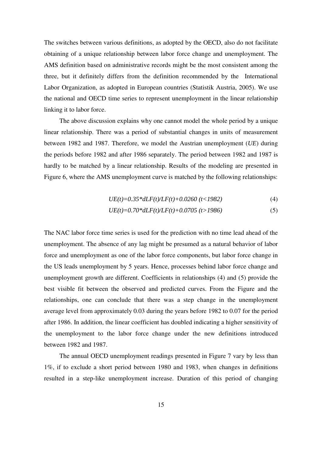The switches between various definitions, as adopted by the OECD, also do not facilitate obtaining of a unique relationship between labor force change and unemployment. The AMS definition based on administrative records might be the most consistent among the three, but it definitely differs from the definition recommended by the International Labor Organization, as adopted in European countries (Statistik Austria, 2005). We use the national and OECD time series to represent unemployment in the linear relationship linking it to labor force.

The above discussion explains why one cannot model the whole period by a unique linear relationship. There was a period of substantial changes in units of measurement between 1982 and 1987. Therefore, we model the Austrian unemployment (*UE*) during the periods before 1982 and after 1986 separately. The period between 1982 and 1987 is hardly to be matched by a linear relationship. Results of the modeling are presented in Figure 6, where the AMS unemployment curve is matched by the following relationships:

$$
UE(t)=0.35 * dLF(t)/LF(t)+0.0260 (t<1982)
$$
\n(4)

$$
UE(t)=0.70* dLF(t)/LF(t)+0.0705 (t>1986)
$$
\n(5)

The NAC labor force time series is used for the prediction with no time lead ahead of the unemployment. The absence of any lag might be presumed as a natural behavior of labor force and unemployment as one of the labor force components, but labor force change in the US leads unemployment by 5 years. Hence, processes behind labor force change and unemployment growth are different. Coefficients in relationships (4) and (5) provide the best visible fit between the observed and predicted curves. From the Figure and the relationships, one can conclude that there was a step change in the unemployment average level from approximately 0.03 during the years before 1982 to 0.07 for the period after 1986. In addition, the linear coefficient has doubled indicating a higher sensitivity of the unemployment to the labor force change under the new definitions introduced between 1982 and 1987.

The annual OECD unemployment readings presented in Figure 7 vary by less than 1%, if to exclude a short period between 1980 and 1983, when changes in definitions resulted in a step-like unemployment increase. Duration of this period of changing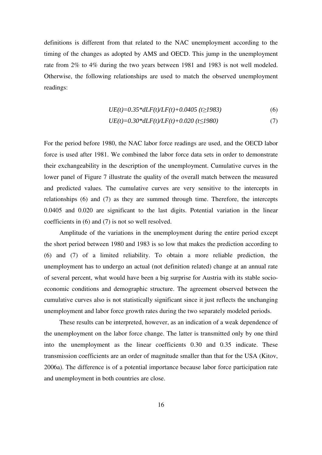definitions is different from that related to the NAC unemployment according to the timing of the changes as adopted by AMS and OECD. This jump in the unemployment rate from 2% to 4% during the two years between 1981 and 1983 is not well modeled. Otherwise, the following relationships are used to match the observed unemployment readings:

$$
UE(t)=0.35 * dLF(t)/LF(t)+0.0405 (t \ge 1983)
$$
\n
$$
(6)
$$

$$
UE(t)=0.30*dLF(t)/LF(t)+0.020 (t\leq1980)
$$
\n(7)

For the period before 1980, the NAC labor force readings are used, and the OECD labor force is used after 1981. We combined the labor force data sets in order to demonstrate their exchangeability in the description of the unemployment. Cumulative curves in the lower panel of Figure 7 illustrate the quality of the overall match between the measured and predicted values. The cumulative curves are very sensitive to the intercepts in relationships (6) and (7) as they are summed through time. Therefore, the intercepts 0.0405 and 0.020 are significant to the last digits. Potential variation in the linear coefficients in (6) and (7) is not so well resolved.

Amplitude of the variations in the unemployment during the entire period except the short period between 1980 and 1983 is so low that makes the prediction according to (6) and (7) of a limited reliability. To obtain a more reliable prediction, the unemployment has to undergo an actual (not definition related) change at an annual rate of several percent, what would have been a big surprise for Austria with its stable socioeconomic conditions and demographic structure. The agreement observed between the cumulative curves also is not statistically significant since it just reflects the unchanging unemployment and labor force growth rates during the two separately modeled periods.

These results can be interpreted, however, as an indication of a weak dependence of the unemployment on the labor force change. The latter is transmitted only by one third into the unemployment as the linear coefficients 0.30 and 0.35 indicate. These transmission coefficients are an order of magnitude smaller than that for the USA (Kitov, 2006a). The difference is of a potential importance because labor force participation rate and unemployment in both countries are close.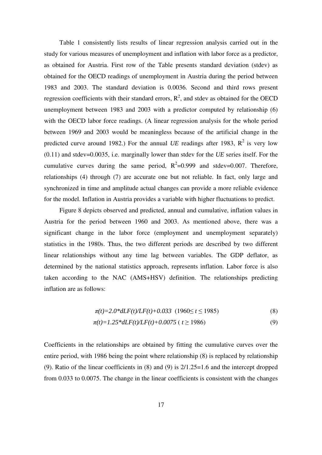Table 1 consistently lists results of linear regression analysis carried out in the study for various measures of unemployment and inflation with labor force as a predictor, as obtained for Austria. First row of the Table presents standard deviation (stdev) as obtained for the OECD readings of unemployment in Austria during the period between 1983 and 2003. The standard deviation is 0.0036. Second and third rows present regression coefficients with their standard errors,  $R^2$ , and stdev as obtained for the OECD unemployment between 1983 and 2003 with a predictor computed by relationship (6) with the OECD labor force readings. (A linear regression analysis for the whole period between 1969 and 2003 would be meaningless because of the artificial change in the predicted curve around 1982.) For the annual *UE* readings after 1983,  $R^2$  is very low (0.11) and stdev=0.0035, i.e. marginally lower than stdev for the *UE* series itself. For the cumulative curves during the same period,  $R^2$ =0.999 and stdev=0.007. Therefore, relationships (4) through (7) are accurate one but not reliable. In fact, only large and synchronized in time and amplitude actual changes can provide a more reliable evidence for the model. Inflation in Austria provides a variable with higher fluctuations to predict.

Figure 8 depicts observed and predicted, annual and cumulative, inflation values in Austria for the period between 1960 and 2003. As mentioned above, there was a significant change in the labor force (employment and unemployment separately) statistics in the 1980s. Thus, the two different periods are described by two different linear relationships without any time lag between variables. The GDP deflator, as determined by the national statistics approach, represents inflation. Labor force is also taken according to the NAC (AMS+HSV) definition. The relationships predicting inflation are as follows:

$$
\pi(t) = 2.0 * dLF(t)/LF(t) + 0.033 \quad (1960 \le t \le 1985)
$$
\n(8)

$$
\pi(t) = 1.25 * dLF(t)/LF(t) + 0.0075 \ (t \ge 1986)
$$
\n<sup>(9)</sup>

Coefficients in the relationships are obtained by fitting the cumulative curves over the entire period, with 1986 being the point where relationship (8) is replaced by relationship (9). Ratio of the linear coefficients in (8) and (9) is 2/1.25=1.6 and the intercept dropped from 0.033 to 0.0075. The change in the linear coefficients is consistent with the changes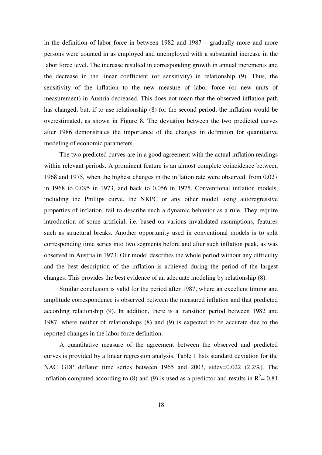in the definition of labor force in between 1982 and 1987 – gradually more and more persons were counted in as employed and unemployed with a substantial increase in the labor force level. The increase resulted in corresponding growth in annual increments and the decrease in the linear coefficient (or sensitivity) in relationship (9). Thus, the sensitivity of the inflation to the new measure of labor force (or new units of measurement) in Austria decreased. This does not mean that the observed inflation path has changed, but, if to use relationship (8) for the second period, the inflation would be overestimated, as shown in Figure 8. The deviation between the two predicted curves after 1986 demonstrates the importance of the changes in definition for quantitative modeling of economic parameters.

The two predicted curves are in a good agreement with the actual inflation readings within relevant periods. A prominent feature is an almost complete coincidence between 1968 and 1975, when the highest changes in the inflation rate were observed: from 0.027 in 1968 to 0.095 in 1973, and back to 0.056 in 1975. Conventional inflation models, including the Phillips curve, the NKPC or any other model using autoregressive properties of inflation, fail to describe such a dynamic behavior as a rule. They require introduction of some artificial, i.e. based on various invalidated assumptions, features such as structural breaks. Another opportunity used in conventional models is to split corresponding time series into two segments before and after such inflation peak, as was observed in Austria in 1973. Our model describes the whole period without any difficulty and the best description of the inflation is achieved during the period of the largest changes. This provides the best evidence of an adequate modeling by relationship (8).

Similar conclusion is valid for the period after 1987, where an excellent timing and amplitude correspondence is observed between the measured inflation and that predicted according relationship (9). In addition, there is a transition period between 1982 and 1987, where neither of relationships (8) and (9) is expected to be accurate due to the reported changes in the labor force definition.

A quantitative measure of the agreement between the observed and predicted curves is provided by a linear regression analysis. Table 1 lists standard deviation for the NAC GDP deflator time series between 1965 and 2003, stdev=0.022 (2.2%). The inflation computed according to (8) and (9) is used as a predictor and results in  $R^2$  = 0.81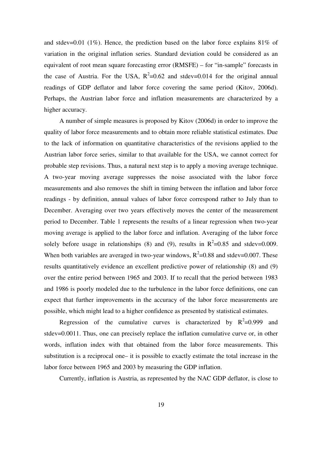and stdev=0.01 (1%). Hence, the prediction based on the labor force explains 81% of variation in the original inflation series. Standard deviation could be considered as an equivalent of root mean square forecasting error (RMSFE) – for "in-sample" forecasts in the case of Austria. For the USA,  $R^2$ =0.62 and stdev=0.014 for the original annual readings of GDP deflator and labor force covering the same period (Kitov, 2006d). Perhaps, the Austrian labor force and inflation measurements are characterized by a higher accuracy.

A number of simple measures is proposed by Kitov (2006d) in order to improve the quality of labor force measurements and to obtain more reliable statistical estimates. Due to the lack of information on quantitative characteristics of the revisions applied to the Austrian labor force series, similar to that available for the USA, we cannot correct for probable step revisions. Thus, a natural next step is to apply a moving average technique. A two-year moving average suppresses the noise associated with the labor force measurements and also removes the shift in timing between the inflation and labor force readings - by definition, annual values of labor force correspond rather to July than to December. Averaging over two years effectively moves the center of the measurement period to December. Table 1 represents the results of a linear regression when two-year moving average is applied to the labor force and inflation. Averaging of the labor force solely before usage in relationships (8) and (9), results in  $R^2$ =0.85 and stdev=0.009. When both variables are averaged in two-year windows,  $R^2$ =0.88 and stdev=0.007. These results quantitatively evidence an excellent predictive power of relationship (8) and (9) over the entire period between 1965 and 2003. If to recall that the period between 1983 and 1986 is poorly modeled due to the turbulence in the labor force definitions, one can expect that further improvements in the accuracy of the labor force measurements are possible, which might lead to a higher confidence as presented by statistical estimates.

Regression of the cumulative curves is characterized by  $R^2=0.999$  and stdev=0.0011. Thus, one can precisely replace the inflation cumulative curve or, in other words, inflation index with that obtained from the labor force measurements. This substitution is a reciprocal one– it is possible to exactly estimate the total increase in the labor force between 1965 and 2003 by measuring the GDP inflation.

Currently, inflation is Austria, as represented by the NAC GDP deflator, is close to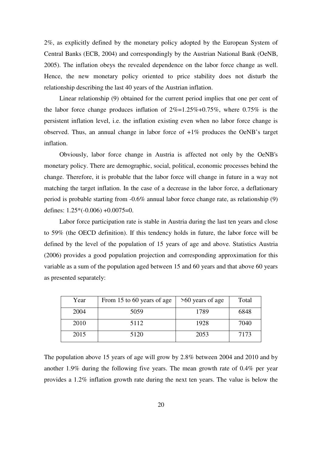2%, as explicitly defined by the monetary policy adopted by the European System of Central Banks (ECB, 2004) and correspondingly by the Austrian National Bank (OeNB, 2005). The inflation obeys the revealed dependence on the labor force change as well. Hence, the new monetary policy oriented to price stability does not disturb the relationship describing the last 40 years of the Austrian inflation.

Linear relationship (9) obtained for the current period implies that one per cent of the labor force change produces inflation of  $2\% = 1.25\% + 0.75\%$ , where 0.75% is the persistent inflation level, i.e. the inflation existing even when no labor force change is observed. Thus, an annual change in labor force of  $+1\%$  produces the OeNB's target inflation.

Obviously, labor force change in Austria is affected not only by the OeNB's monetary policy. There are demographic, social, political, economic processes behind the change. Therefore, it is probable that the labor force will change in future in a way not matching the target inflation. In the case of a decrease in the labor force, a deflationary period is probable starting from -0.6% annual labor force change rate, as relationship (9) defines: 1.25\*(-0.006) +0.0075=0.

Labor force participation rate is stable in Austria during the last ten years and close to 59% (the OECD definition). If this tendency holds in future, the labor force will be defined by the level of the population of 15 years of age and above. Statistics Austria (2006) provides a good population projection and corresponding approximation for this variable as a sum of the population aged between 15 and 60 years and that above 60 years as presented separately:

| Year | From 15 to 60 years of age | $>60$ years of age | Total |
|------|----------------------------|--------------------|-------|
| 2004 | 5059                       | 1789               | 6848  |
| 2010 | 5112                       | 1928               | 7040  |
| 2015 | 5120                       | 2053               | 7173  |

The population above 15 years of age will grow by 2.8% between 2004 and 2010 and by another 1.9% during the following five years. The mean growth rate of 0.4% per year provides a 1.2% inflation growth rate during the next ten years. The value is below the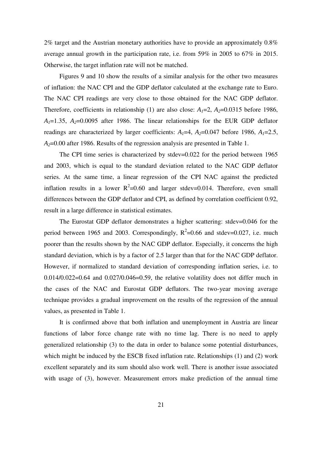2% target and the Austrian monetary authorities have to provide an approximately 0.8% average annual growth in the participation rate, i.e. from 59% in 2005 to 67% in 2015. Otherwise, the target inflation rate will not be matched.

Figures 9 and 10 show the results of a similar analysis for the other two measures of inflation: the NAC CPI and the GDP deflator calculated at the exchange rate to Euro. The NAC CPI readings are very close to those obtained for the NAC GDP deflator. Therefore, coefficients in relationship (1) are also close:  $A_1=2$ ,  $A_2=0.0315$  before 1986,  $A_1=1.35$ ,  $A_2=0.0095$  after 1986. The linear relationships for the EUR GDP deflator readings are characterized by larger coefficients:  $A_1=4$ ,  $A_2=0.047$  before 1986,  $A_1=2.5$ , *A2*=0.00 after 1986. Results of the regression analysis are presented in Table 1.

The CPI time series is characterized by stdev=0.022 for the period between 1965 and 2003, which is equal to the standard deviation related to the NAC GDP deflator series. At the same time, a linear regression of the CPI NAC against the predicted inflation results in a lower  $R^2$ =0.60 and larger stdev=0.014. Therefore, even small differences between the GDP deflator and CPI, as defined by correlation coefficient 0.92, result in a large difference in statistical estimates.

The Eurostat GDP deflator demonstrates a higher scattering: stdev=0.046 for the period between 1965 and 2003. Correspondingly,  $R^2$ =0.66 and stdev=0.027, i.e. much poorer than the results shown by the NAC GDP deflator. Especially, it concerns the high standard deviation, which is by a factor of 2.5 larger than that for the NAC GDP deflator. However, if normalized to standard deviation of corresponding inflation series, i.e. to  $0.014/0.022=0.64$  and  $0.027/0.046=0.59$ , the relative volatility does not differ much in the cases of the NAC and Eurostat GDP deflators. The two-year moving average technique provides a gradual improvement on the results of the regression of the annual values, as presented in Table 1.

It is confirmed above that both inflation and unemployment in Austria are linear functions of labor force change rate with no time lag. There is no need to apply generalized relationship (3) to the data in order to balance some potential disturbances, which might be induced by the ESCB fixed inflation rate. Relationships (1) and (2) work excellent separately and its sum should also work well. There is another issue associated with usage of (3), however. Measurement errors make prediction of the annual time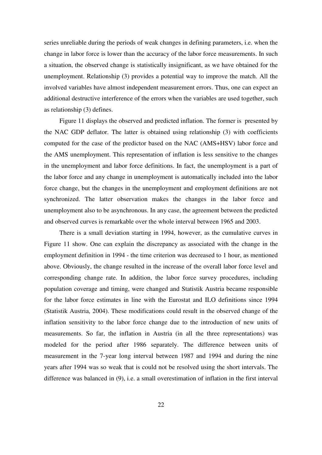series unreliable during the periods of weak changes in defining parameters, i.e. when the change in labor force is lower than the accuracy of the labor force measurements. In such a situation, the observed change is statistically insignificant, as we have obtained for the unemployment. Relationship (3) provides a potential way to improve the match. All the involved variables have almost independent measurement errors. Thus, one can expect an additional destructive interference of the errors when the variables are used together, such as relationship (3) defines.

Figure 11 displays the observed and predicted inflation. The former is presented by the NAC GDP deflator. The latter is obtained using relationship (3) with coefficients computed for the case of the predictor based on the NAC (AMS+HSV) labor force and the AMS unemployment. This representation of inflation is less sensitive to the changes in the unemployment and labor force definitions. In fact, the unemployment is a part of the labor force and any change in unemployment is automatically included into the labor force change, but the changes in the unemployment and employment definitions are not synchronized. The latter observation makes the changes in the labor force and unemployment also to be asynchronous. In any case, the agreement between the predicted and observed curves is remarkable over the whole interval between 1965 and 2003.

There is a small deviation starting in 1994, however, as the cumulative curves in Figure 11 show. One can explain the discrepancy as associated with the change in the employment definition in 1994 - the time criterion was decreased to 1 hour, as mentioned above. Obviously, the change resulted in the increase of the overall labor force level and corresponding change rate. In addition, the labor force survey procedures, including population coverage and timing, were changed and Statistik Austria became responsible for the labor force estimates in line with the Eurostat and ILO definitions since 1994 (Statistik Austria, 2004). These modifications could result in the observed change of the inflation sensitivity to the labor force change due to the introduction of new units of measurements. So far, the inflation in Austria (in all the three representations) was modeled for the period after 1986 separately. The difference between units of measurement in the 7-year long interval between 1987 and 1994 and during the nine years after 1994 was so weak that is could not be resolved using the short intervals. The difference was balanced in (9), i.e. a small overestimation of inflation in the first interval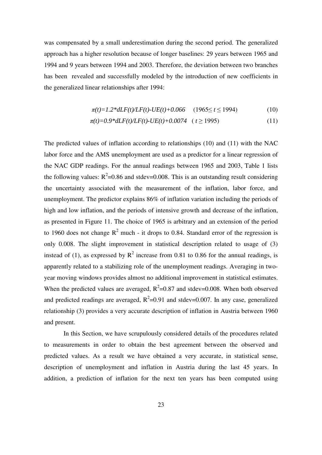was compensated by a small underestimation during the second period. The generalized approach has a higher resolution because of longer baselines: 29 years between 1965 and 1994 and 9 years between 1994 and 2003. Therefore, the deviation between two branches has been revealed and successfully modeled by the introduction of new coefficients in the generalized linear relationships after 1994:

$$
\pi(t) = 1.2 * dLF(t)/LF(t) - UE(t) + 0.066 \qquad (1965 \le t \le 1994)
$$
 (10)

$$
\pi(t) = 0.9 * dLF(t)/LF(t) - UE(t) + 0.0074 \quad (t \ge 1995)
$$
\n
$$
(11)
$$

The predicted values of inflation according to relationships (10) and (11) with the NAC labor force and the AMS unemployment are used as a predictor for a linear regression of the NAC GDP readings. For the annual readings between 1965 and 2003, Table 1 lists the following values:  $R^2$ =0.86 and stdev=0.008. This is an outstanding result considering the uncertainty associated with the measurement of the inflation, labor force, and unemployment. The predictor explains 86% of inflation variation including the periods of high and low inflation, and the periods of intensive growth and decrease of the inflation, as presented in Figure 11. The choice of 1965 is arbitrary and an extension of the period to 1960 does not change  $R^2$  much - it drops to 0.84. Standard error of the regression is only 0.008. The slight improvement in statistical description related to usage of (3) instead of (1), as expressed by  $R^2$  increase from 0.81 to 0.86 for the annual readings, is apparently related to a stabilizing role of the unemployment readings. Averaging in twoyear moving windows provides almost no additional improvement in statistical estimates. When the predicted values are averaged,  $R^2 = 0.87$  and stdev=0.008. When both observed and predicted readings are averaged,  $R^2$ =0.91 and stdev=0.007. In any case, generalized relationship (3) provides a very accurate description of inflation in Austria between 1960 and present.

 In this Section, we have scrupulously considered details of the procedures related to measurements in order to obtain the best agreement between the observed and predicted values. As a result we have obtained a very accurate, in statistical sense, description of unemployment and inflation in Austria during the last 45 years. In addition, a prediction of inflation for the next ten years has been computed using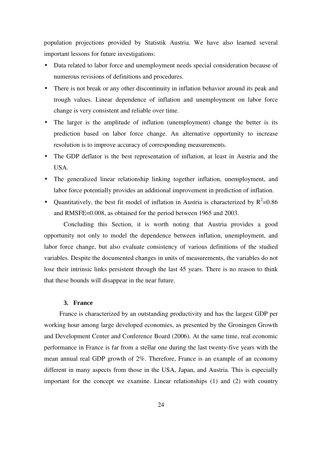population projections provided by Statistik Austria. We have also learned several important lessons for future investigations:

- Data related to labor force and unemployment needs special consideration because of numerous revisions of definitions and procedures.
- There is not break or any other discontinuity in inflation behavior around its peak and trough values. Linear dependence of inflation and unemployment on labor force change is very consistent and reliable over time.
- The larger is the amplitude of inflation (unemployment) change the better is its prediction based on labor force change. An alternative opportunity to increase resolution is to improve accuracy of corresponding measurements.
- The GDP deflator is the best representation of inflation, at least in Austria and the USA.
- The generalized linear relationship linking together inflation, unemployment, and labor force potentially provides an additional improvement in prediction of inflation.
- Quantitatively, the best fit model of inflation in Austria is characterized by  $R^2$ =0.86 and RMSFE=0.008, as obtained for the period between 1965 and 2003.

 Concluding this Section, it is worth noting that Austria provides a good opportunity not only to model the dependence between inflation, unemployment, and labor force change, but also evaluate consistency of various definitions of the studied variables. Despite the documented changes in units of measurements, the variables do not lose their intrinsic links persistent through the last 45 years. There is no reason to think that these bounds will disappear in the near future.

## **3. France**

France is characterized by an outstanding productivity and has the largest GDP per working hour among large developed economies, as presented by the Groningen Growth and Development Center and Conference Board (2006). At the same time, real economic performance in France is far from a stellar one during the last twenty-five years with the mean annual real GDP growth of 2%. Therefore, France is an example of an economy different in many aspects from those in the USA, Japan, and Austria. This is especially important for the concept we examine. Linear relationships (1) and (2) with country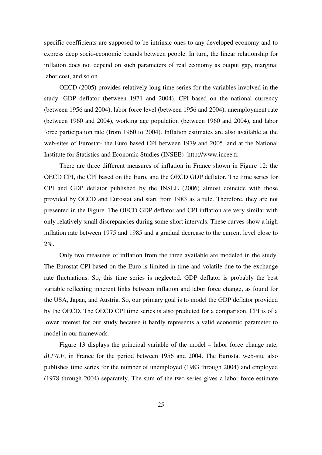specific coefficients are supposed to be intrinsic ones to any developed economy and to express deep socio-economic bounds between people. In turn, the linear relationship for inflation does not depend on such parameters of real economy as output gap, marginal labor cost, and so on.

OECD (2005) provides relatively long time series for the variables involved in the study: GDP deflator (between 1971 and 2004), CPI based on the national currency (between 1956 and 2004), labor force level (between 1956 and 2004), unemployment rate (between 1960 and 2004), working age population (between 1960 and 2004), and labor force participation rate (from 1960 to 2004). Inflation estimates are also available at the web-sites of Eurostat- the Euro based CPI between 1979 and 2005, and at the National Institute for Statistics and Economic Studies (INSEE)- http://www.incee.fr.

There are three different measures of inflation in France shown in Figure 12: the OECD CPI, the CPI based on the Euro, and the OECD GDP deflator. The time series for CPI and GDP deflator published by the INSEE (2006) almost coincide with those provided by OECD and Eurostat and start from 1983 as a rule. Therefore, they are not presented in the Figure. The OECD GDP deflator and CPI inflation are very similar with only relatively small discrepancies during some short intervals. These curves show a high inflation rate between 1975 and 1985 and a gradual decrease to the current level close to 2%.

Only two measures of inflation from the three available are modeled in the study. The Eurostat CPI based on the Euro is limited in time and volatile due to the exchange rate fluctuations. So, this time series is neglected. GDP deflator is probably the best variable reflecting inherent links between inflation and labor force change, as found for the USA, Japan, and Austria. So, our primary goal is to model the GDP deflator provided by the OECD. The OECD CPI time series is also predicted for a comparison. CPI is of a lower interest for our study because it hardly represents a valid economic parameter to model in our framework.

Figure 13 displays the principal variable of the model – labor force change rate, *dLF/LF*, in France for the period between 1956 and 2004. The Eurostat web-site also publishes time series for the number of unemployed (1983 through 2004) and employed (1978 through 2004) separately. The sum of the two series gives a labor force estimate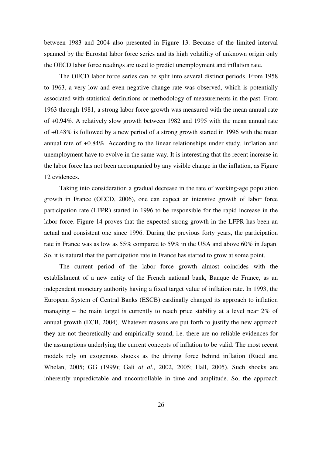between 1983 and 2004 also presented in Figure 13. Because of the limited interval spanned by the Eurostat labor force series and its high volatility of unknown origin only the OECD labor force readings are used to predict unemployment and inflation rate.

The OECD labor force series can be split into several distinct periods. From 1958 to 1963, a very low and even negative change rate was observed, which is potentially associated with statistical definitions or methodology of measurements in the past. From 1963 through 1981, a strong labor force growth was measured with the mean annual rate of +0.94%. A relatively slow growth between 1982 and 1995 with the mean annual rate of +0.48% is followed by a new period of a strong growth started in 1996 with the mean annual rate of +0.84%. According to the linear relationships under study, inflation and unemployment have to evolve in the same way. It is interesting that the recent increase in the labor force has not been accompanied by any visible change in the inflation, as Figure 12 evidences.

Taking into consideration a gradual decrease in the rate of working-age population growth in France (OECD, 2006), one can expect an intensive growth of labor force participation rate (LFPR) started in 1996 to be responsible for the rapid increase in the labor force. Figure 14 proves that the expected strong growth in the LFPR has been an actual and consistent one since 1996. During the previous forty years, the participation rate in France was as low as 55% compared to 59% in the USA and above 60% in Japan. So, it is natural that the participation rate in France has started to grow at some point.

The current period of the labor force growth almost coincides with the establishment of a new entity of the French national bank, Banque de France, as an independent monetary authority having a fixed target value of inflation rate. In 1993, the European System of Central Banks (ESCB) cardinally changed its approach to inflation managing – the main target is currently to reach price stability at a level near 2% of annual growth (ECB, 2004). Whatever reasons are put forth to justify the new approach they are not theoretically and empirically sound, i.e. there are no reliable evidences for the assumptions underlying the current concepts of inflation to be valid. The most recent models rely on exogenous shocks as the driving force behind inflation (Rudd and Whelan, 2005; GG (1999); Gali *at al*., 2002, 2005; Hall, 2005). Such shocks are inherently unpredictable and uncontrollable in time and amplitude. So, the approach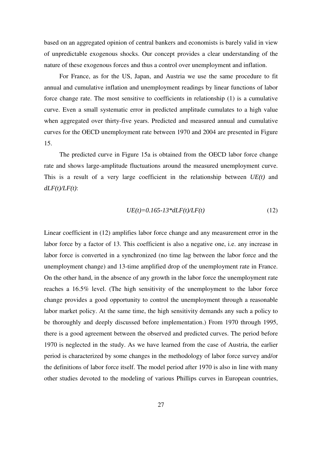based on an aggregated opinion of central bankers and economists is barely valid in view of unpredictable exogenous shocks. Our concept provides a clear understanding of the nature of these exogenous forces and thus a control over unemployment and inflation.

For France, as for the US, Japan, and Austria we use the same procedure to fit annual and cumulative inflation and unemployment readings by linear functions of labor force change rate. The most sensitive to coefficients in relationship (1) is a cumulative curve. Even a small systematic error in predicted amplitude cumulates to a high value when aggregated over thirty-five years. Predicted and measured annual and cumulative curves for the OECD unemployment rate between 1970 and 2004 are presented in Figure 15.

The predicted curve in Figure 15a is obtained from the OECD labor force change rate and shows large-amplitude fluctuations around the measured unemployment curve. This is a result of a very large coefficient in the relationship between *UE(t)* and *dLF(t)/LF(t)*:

$$
UE(t)=0.165-13*dLF(t)/LF(t)
$$
\n(12)

Linear coefficient in (12) amplifies labor force change and any measurement error in the labor force by a factor of 13. This coefficient is also a negative one, i.e. any increase in labor force is converted in a synchronized (no time lag between the labor force and the unemployment change) and 13-time amplified drop of the unemployment rate in France. On the other hand, in the absence of any growth in the labor force the unemployment rate reaches a 16.5% level. (The high sensitivity of the unemployment to the labor force change provides a good opportunity to control the unemployment through a reasonable labor market policy. At the same time, the high sensitivity demands any such a policy to be thoroughly and deeply discussed before implementation.) From 1970 through 1995, there is a good agreement between the observed and predicted curves. The period before 1970 is neglected in the study. As we have learned from the case of Austria, the earlier period is characterized by some changes in the methodology of labor force survey and/or the definitions of labor force itself. The model period after 1970 is also in line with many other studies devoted to the modeling of various Phillips curves in European countries,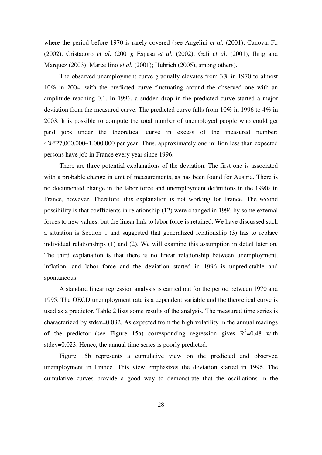where the period before 1970 is rarely covered (see Angelini *et al.* (2001); Canova, F., (2002), Cristadoro *et al.* (2001); Espasa *et al.* (2002); Gali *et al.* (2001), Ihrig and Marquez (2003); Marcellino *et al.* (2001); Hubrich (2005), among others).

The observed unemployment curve gradually elevates from 3% in 1970 to almost 10% in 2004, with the predicted curve fluctuating around the observed one with an amplitude reaching 0.1. In 1996, a sudden drop in the predicted curve started a major deviation from the measured curve. The predicted curve falls from 10% in 1996 to 4% in 2003. It is possible to compute the total number of unemployed people who could get paid jobs under the theoretical curve in excess of the measured number: 4%\*27,000,000~1,000,000 per year. Thus, approximately one million less than expected persons have job in France every year since 1996.

There are three potential explanations of the deviation. The first one is associated with a probable change in unit of measurements, as has been found for Austria. There is no documented change in the labor force and unemployment definitions in the 1990s in France, however. Therefore, this explanation is not working for France. The second possibility is that coefficients in relationship (12) were changed in 1996 by some external forces to new values, but the linear link to labor force is retained. We have discussed such a situation is Section 1 and suggested that generalized relationship (3) has to replace individual relationships (1) and (2). We will examine this assumption in detail later on. The third explanation is that there is no linear relationship between unemployment, inflation, and labor force and the deviation started in 1996 is unpredictable and spontaneous.

A standard linear regression analysis is carried out for the period between 1970 and 1995. The OECD unemployment rate is a dependent variable and the theoretical curve is used as a predictor. Table 2 lists some results of the analysis. The measured time series is characterized by stdev=0.032. As expected from the high volatility in the annual readings of the predictor (see Figure 15a) corresponding regression gives  $R^2=0.48$  with stdev=0.023. Hence, the annual time series is poorly predicted.

Figure 15b represents a cumulative view on the predicted and observed unemployment in France. This view emphasizes the deviation started in 1996. The cumulative curves provide a good way to demonstrate that the oscillations in the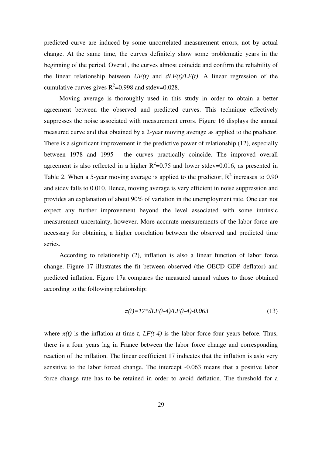predicted curve are induced by some uncorrelated measurement errors, not by actual change. At the same time, the curves definitely show some problematic years in the beginning of the period. Overall, the curves almost coincide and confirm the reliability of the linear relationship between  $UE(t)$  and  $dLF(t)/LF(t)$ . A linear regression of the cumulative curves gives  $R^2$ =0.998 and stdev=0.028.

Moving average is thoroughly used in this study in order to obtain a better agreement between the observed and predicted curves. This technique effectively suppresses the noise associated with measurement errors. Figure 16 displays the annual measured curve and that obtained by a 2-year moving average as applied to the predictor. There is a significant improvement in the predictive power of relationship (12), especially between 1978 and 1995 - the curves practically coincide. The improved overall agreement is also reflected in a higher  $R^2$ =0.75 and lower stdev=0.016, as presented in Table 2. When a 5-year moving average is applied to the predictor,  $R^2$  increases to 0.90 and stdev falls to 0.010. Hence, moving average is very efficient in noise suppression and provides an explanation of about 90% of variation in the unemployment rate. One can not expect any further improvement beyond the level associated with some intrinsic measurement uncertainty, however. More accurate measurements of the labor force are necessary for obtaining a higher correlation between the observed and predicted time series.

According to relationship (2), inflation is also a linear function of labor force change. Figure 17 illustrates the fit between observed (the OECD GDP deflator) and predicted inflation. Figure 17a compares the measured annual values to those obtained according to the following relationship:

$$
\pi(t) = 17 * dL F(t-4)/L F(t-4) - 0.063\tag{13}
$$

where  $\pi(t)$  is the inflation at time *t*,  $LF(t-4)$  is the labor force four years before. Thus, there is a four years lag in France between the labor force change and corresponding reaction of the inflation. The linear coefficient 17 indicates that the inflation is aslo very sensitive to the labor forced change. The intercept -0.063 means that a positive labor force change rate has to be retained in order to avoid deflation. The threshold for a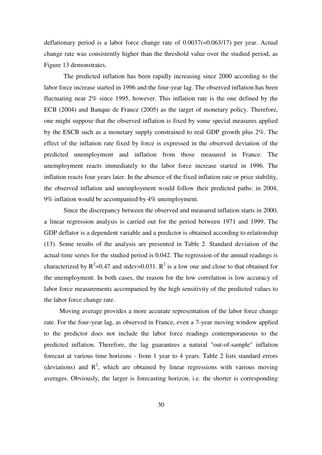deflationary period is a labor force change rate of 0.0037(=0.063/17) per year. Actual change rate was consistently higher than the threshold value over the studied period, as Figure 13 demonstrates.

The predicted inflation has been rapidly increasing since 2000 according to the labor force increase started in 1996 and the four-year lag. The observed inflation has been fluctuating near 2% since 1995, however. This inflation rate is the one defined by the ECB (2004) and Banque de France (2005) as the target of monetary policy. Therefore, one might suppose that the observed inflation is fixed by some special measures applied by the ESCB such as a monetary supply constrained to real GDP growth plus 2%. The effect of the inflation rate fixed by force is expressed in the observed deviation of the predicted unemployment and inflation from those measured in France. The unemployment reacts immediately to the labor force increase started in 1996. The inflation reacts four years later. In the absence of the fixed inflation rate or price stability, the observed inflation and unemployment would follow their predicted paths: in 2004, 9% inflation would be accompanied by 4% unemployment.

 Since the discrepancy between the observed and measured inflation starts in 2000, a linear regression analysis is carried out for the period between 1971 and 1999. The GDP deflator is a dependent variable and a predictor is obtained according to relationship (13). Some results of the analysis are presented in Table 2. Standard deviation of the actual time series for the studied period is 0.042. The regression of the annual readings is characterized by  $R^2$ =0.47 and stdev=0.031.  $R^2$  is a low one and close to that obtained for the unemployment. In both cases, the reason for the low correlation is low accuracy of labor force measurements accompanied by the high sensitivity of the predicted values to the labor force change rate.

Moving average provides a more accurate representation of the labor force change rate. For the four-year lag, as observed in France, even a 7-year moving window applied to the predictor does not include the labor force readings contemporaneous to the predicted inflation. Therefore, the lag guarantees a natural "out-of-sample" inflation forecast at various time horizons - from 1 year to 4 years. Table 2 lists standard errors (deviations) and  $\mathbb{R}^2$ , which are obtained by linear regressions with various moving averages. Obviously, the larger is forecasting horizon, i.e. the shorter is corresponding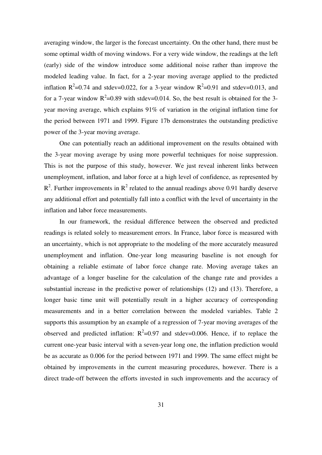averaging window, the larger is the forecast uncertainty. On the other hand, there must be some optimal width of moving windows. For a very wide window, the readings at the left (early) side of the window introduce some additional noise rather than improve the modeled leading value. In fact, for a 2-year moving average applied to the predicted inflation  $R^2$ =0.74 and stdev=0.022, for a 3-year window  $R^2$ =0.91 and stdev=0.013, and for a 7-year window  $R^2$ =0.89 with stdev=0.014. So, the best result is obtained for the 3year moving average, which explains 91% of variation in the original inflation time for the period between 1971 and 1999. Figure 17b demonstrates the outstanding predictive power of the 3-year moving average.

One can potentially reach an additional improvement on the results obtained with the 3-year moving average by using more powerful techniques for noise suppression. This is not the purpose of this study, however. We just reveal inherent links between unemployment, inflation, and labor force at a high level of confidence, as represented by  $R^2$ . Further improvements in  $R^2$  related to the annual readings above 0.91 hardly deserve any additional effort and potentially fall into a conflict with the level of uncertainty in the inflation and labor force measurements.

In our framework, the residual difference between the observed and predicted readings is related solely to measurement errors. In France, labor force is measured with an uncertainty, which is not appropriate to the modeling of the more accurately measured unemployment and inflation. One-year long measuring baseline is not enough for obtaining a reliable estimate of labor force change rate. Moving average takes an advantage of a longer baseline for the calculation of the change rate and provides a substantial increase in the predictive power of relationships (12) and (13). Therefore, a longer basic time unit will potentially result in a higher accuracy of corresponding measurements and in a better correlation between the modeled variables. Table 2 supports this assumption by an example of a regression of 7-year moving averages of the observed and predicted inflation:  $R^2$ =0.97 and stdev=0.006. Hence, if to replace the current one-year basic interval with a seven-year long one, the inflation prediction would be as accurate as 0.006 for the period between 1971 and 1999. The same effect might be obtained by improvements in the current measuring procedures, however. There is a direct trade-off between the efforts invested in such improvements and the accuracy of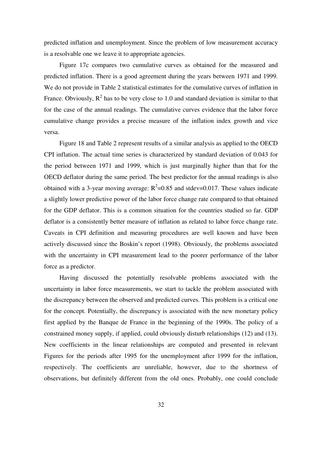predicted inflation and unemployment. Since the problem of low measurement accuracy is a resolvable one we leave it to appropriate agencies.

Figure 17c compares two cumulative curves as obtained for the measured and predicted inflation. There is a good agreement during the years between 1971 and 1999. We do not provide in Table 2 statistical estimates for the cumulative curves of inflation in France. Obviously,  $R^2$  has to be very close to 1.0 and standard deviation is similar to that for the case of the annual readings. The cumulative curves evidence that the labor force cumulative change provides a precise measure of the inflation index growth and vice versa.

Figure 18 and Table 2 represent results of a similar analysis as applied to the OECD CPI inflation. The actual time series is characterized by standard deviation of 0.043 for the period between 1971 and 1999, which is just marginally higher than that for the OECD deflator during the same period. The best predictor for the annual readings is also obtained with a 3-year moving average:  $R^2$ =0.85 and stdev=0.017. These values indicate a slightly lower predictive power of the labor force change rate compared to that obtained for the GDP deflator. This is a common situation for the countries studied so far. GDP deflator is a consistently better measure of inflation as related to labor force change rate. Caveats in CPI definition and measuring procedures are well known and have been actively discussed since the Boskin's report (1998). Obviously, the problems associated with the uncertainty in CPI measurement lead to the poorer performance of the labor force as a predictor.

Having discussed the potentially resolvable problems associated with the uncertainty in labor force measurements, we start to tackle the problem associated with the discrepancy between the observed and predicted curves. This problem is a critical one for the concept. Potentially, the discrepancy is associated with the new monetary policy first applied by the Banque de France in the beginning of the 1990s. The policy of a constrained money supply, if applied, could obviously disturb relationships (12) and (13). New coefficients in the linear relationships are computed and presented in relevant Figures for the periods after 1995 for the unemployment after 1999 for the inflation, respectively. The coefficients are unreliable, however, due to the shortness of observations, but definitely different from the old ones. Probably, one could conclude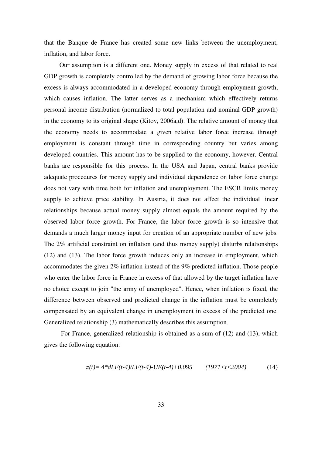that the Banque de France has created some new links between the unemployment, inflation, and labor force.

Our assumption is a different one. Money supply in excess of that related to real GDP growth is completely controlled by the demand of growing labor force because the excess is always accommodated in a developed economy through employment growth, which causes inflation. The latter serves as a mechanism which effectively returns personal income distribution (normalized to total population and nominal GDP growth) in the economy to its original shape (Kitov, 2006a,d). The relative amount of money that the economy needs to accommodate a given relative labor force increase through employment is constant through time in corresponding country but varies among developed countries. This amount has to be supplied to the economy, however. Central banks are responsible for this process. In the USA and Japan, central banks provide adequate procedures for money supply and individual dependence on labor force change does not vary with time both for inflation and unemployment. The ESCB limits money supply to achieve price stability. In Austria, it does not affect the individual linear relationships because actual money supply almost equals the amount required by the observed labor force growth. For France, the labor force growth is so intensive that demands a much larger money input for creation of an appropriate number of new jobs. The 2% artificial constraint on inflation (and thus money supply) disturbs relationships (12) and (13). The labor force growth induces only an increase in employment, which accommodates the given 2% inflation instead of the 9% predicted inflation. Those people who enter the labor force in France in excess of that allowed by the target inflation have no choice except to join "the army of unemployed". Hence, when inflation is fixed, the difference between observed and predicted change in the inflation must be completely compensated by an equivalent change in unemployment in excess of the predicted one. Generalized relationship (3) mathematically describes this assumption.

 For France, generalized relationship is obtained as a sum of (12) and (13), which gives the following equation:

$$
\pi(t) = 4 * dLF(t-4)/LF(t-4) - UE(t-4) + 0.095 \qquad (1971 < t < 2004) \tag{14}
$$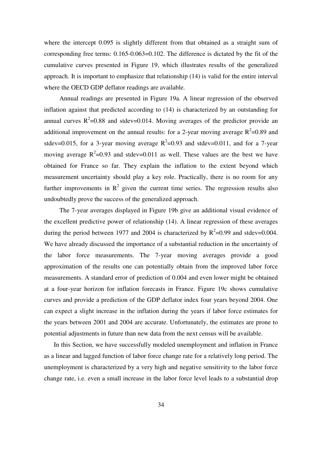where the intercept 0.095 is slightly different from that obtained as a straight sum of corresponding free terms: 0.165-0.063=0.102. The difference is dictated by the fit of the cumulative curves presented in Figure 19, which illustrates results of the generalized approach. It is important to emphasize that relationship (14) is valid for the entire interval where the OECD GDP deflator readings are available.

Annual readings are presented in Figure 19a. A linear regression of the observed inflation against that predicted according to (14) is characterized by an outstanding for annual curves  $R^2$ =0.88 and stdev=0.014. Moving averages of the predictor provide an additional improvement on the annual results: for a 2-year moving average  $R^2$ =0.89 and stdev=0.015, for a 3-year moving average  $R^2$ =0.93 and stdev=0.011, and for a 7-year moving average  $R^2$ =0.93 and stdev=0.011 as well. These values are the best we have obtained for France so far. They explain the inflation to the extent beyond which measurement uncertainty should play a key role. Practically, there is no room for any further improvements in  $\mathbb{R}^2$  given the current time series. The regression results also undoubtedly prove the success of the generalized approach.

The 7-year averages displayed in Figure 19b give an additional visual evidence of the excellent predictive power of relationship (14). A linear regression of these averages during the period between 1977 and 2004 is characterized by  $R^2 = 0.99$  and stdev=0.004. We have already discussed the importance of a substantial reduction in the uncertainty of the labor force measurements. The 7-year moving averages provide a good approximation of the results one can potentially obtain from the improved labor force measurements. A standard error of prediction of 0.004 and even lower might be obtained at a four-year horizon for inflation forecasts in France. Figure 19c shows cumulative curves and provide a prediction of the GDP deflator index four years beyond 2004. One can expect a slight increase in the inflation during the years if labor force estimates for the years between 2001 and 2004 are accurate. Unfortunately, the estimates are prone to potential adjustments in future than new data from the next census will be available.

In this Section, we have successfully modeled unemployment and inflation in France as a linear and lagged function of labor force change rate for a relatively long period. The unemployment is characterized by a very high and negative sensitivity to the labor force change rate, i.e. even a small increase in the labor force level leads to a substantial drop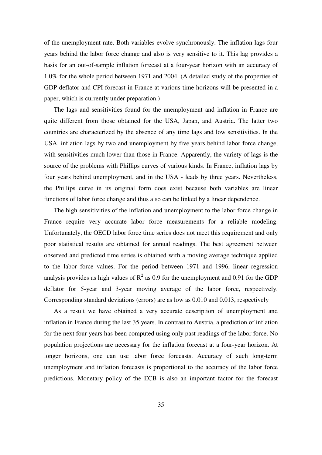of the unemployment rate. Both variables evolve synchronously. The inflation lags four years behind the labor force change and also is very sensitive to it. This lag provides a basis for an out-of-sample inflation forecast at a four-year horizon with an accuracy of 1.0% for the whole period between 1971 and 2004. (A detailed study of the properties of GDP deflator and CPI forecast in France at various time horizons will be presented in a paper, which is currently under preparation.)

The lags and sensitivities found for the unemployment and inflation in France are quite different from those obtained for the USA, Japan, and Austria. The latter two countries are characterized by the absence of any time lags and low sensitivities. In the USA, inflation lags by two and unemployment by five years behind labor force change, with sensitivities much lower than those in France. Apparently, the variety of lags is the source of the problems with Phillips curves of various kinds. In France, inflation lags by four years behind unemployment, and in the USA - leads by three years. Nevertheless, the Phillips curve in its original form does exist because both variables are linear functions of labor force change and thus also can be linked by a linear dependence.

The high sensitivities of the inflation and unemployment to the labor force change in France require very accurate labor force measurements for a reliable modeling. Unfortunately, the OECD labor force time series does not meet this requirement and only poor statistical results are obtained for annual readings. The best agreement between observed and predicted time series is obtained with a moving average technique applied to the labor force values. For the period between 1971 and 1996, linear regression analysis provides as high values of  $R^2$  as 0.9 for the unemployment and 0.91 for the GDP deflator for 5-year and 3-year moving average of the labor force, respectively. Corresponding standard deviations (errors) are as low as 0.010 and 0.013, respectively

As a result we have obtained a very accurate description of unemployment and inflation in France during the last 35 years. In contrast to Austria, a prediction of inflation for the next four years has been computed using only past readings of the labor force. No population projections are necessary for the inflation forecast at a four-year horizon. At longer horizons, one can use labor force forecasts. Accuracy of such long-term unemployment and inflation forecasts is proportional to the accuracy of the labor force predictions. Monetary policy of the ECB is also an important factor for the forecast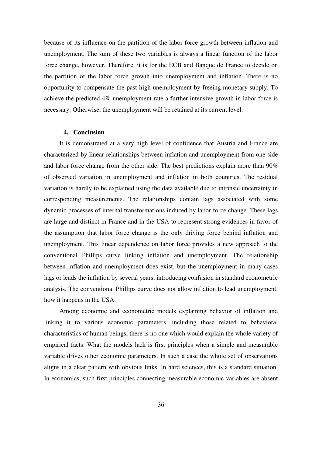because of its influence on the partition of the labor force growth between inflation and unemployment. The sum of these two variables is always a linear function of the labor force change, however. Therefore, it is for the ECB and Banque de France to decide on the partition of the labor force growth into unemployment and inflation. There is no opportunity to compensate the past high unemployment by freeing monetary supply. To achieve the predicted 4% unemployment rate a further intensive growth in labor force is necessary. Otherwise, the unemployment will be retained at its current level.

## **4. Conclusion**

It is demonstrated at a very high level of confidence that Austria and France are characterized by linear relationships between inflation and unemployment from one side and labor force change from the other side. The best predictions explain more than 90% of observed variation in unemployment and inflation in both countries. The residual variation is hardly to be explained using the data available due to intrinsic uncertainty in corresponding measurements. The relationships contain lags associated with some dynamic processes of internal transformations induced by labor force change. These lags are large and distinct in France and in the USA to represent strong evidences in favor of the assumption that labor force change is the only driving force behind inflation and unemployment. This linear dependence on labor force provides a new approach to the conventional Phillips curve linking inflation and unemployment. The relationship between inflation and unemployment does exist, but the unemployment in many cases lags or leads the inflation by several years, introducing confusion in standard econometric analysis. The conventional Phillips curve does not allow inflation to lead unemployment, how it happens in the USA.

Among economic and econometric models explaining behavior of inflation and linking it to various economic parameters, including those related to behavioral characteristics of human beings, there is no one which would explain the whole variety of empirical facts. What the models lack is first principles when a simple and measurable variable drives other economic parameters. In such a case the whole set of observations aligns in a clear pattern with obvious links. In hard sciences, this is a standard situation. In economics, such first principles connecting measurable economic variables are absent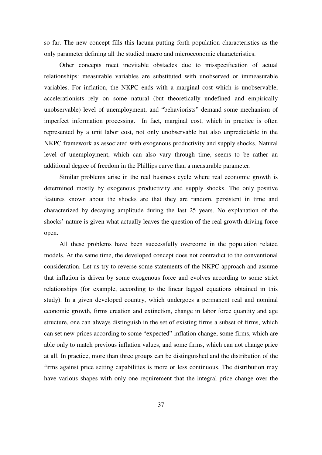so far. The new concept fills this lacuna putting forth population characteristics as the only parameter defining all the studied macro and microeconomic characteristics.

Other concepts meet inevitable obstacles due to misspecification of actual relationships: measurable variables are substituted with unobserved or immeasurable variables. For inflation, the NKPC ends with a marginal cost which is unobservable, accelerationists rely on some natural (but theoretically undefined and empirically unobservable) level of unemployment, and "behaviorists" demand some mechanism of imperfect information processing. In fact, marginal cost, which in practice is often represented by a unit labor cost, not only unobservable but also unpredictable in the NKPC framework as associated with exogenous productivity and supply shocks. Natural level of unemployment, which can also vary through time, seems to be rather an additional degree of freedom in the Phillips curve than a measurable parameter.

Similar problems arise in the real business cycle where real economic growth is determined mostly by exogenous productivity and supply shocks. The only positive features known about the shocks are that they are random, persistent in time and characterized by decaying amplitude during the last 25 years. No explanation of the shocks' nature is given what actually leaves the question of the real growth driving force open.

All these problems have been successfully overcome in the population related models. At the same time, the developed concept does not contradict to the conventional consideration. Let us try to reverse some statements of the NKPC approach and assume that inflation is driven by some exogenous force and evolves according to some strict relationships (for example, according to the linear lagged equations obtained in this study). In a given developed country, which undergoes a permanent real and nominal economic growth, firms creation and extinction, change in labor force quantity and age structure, one can always distinguish in the set of existing firms a subset of firms, which can set new prices according to some "expected" inflation change, some firms, which are able only to match previous inflation values, and some firms, which can not change price at all. In practice, more than three groups can be distinguished and the distribution of the firms against price setting capabilities is more or less continuous. The distribution may have various shapes with only one requirement that the integral price change over the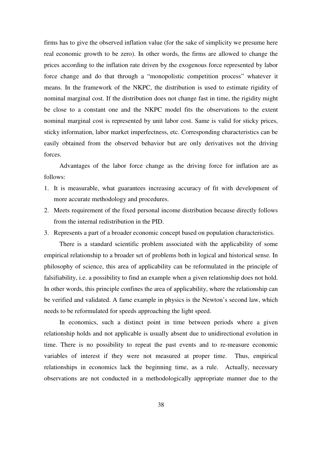firms has to give the observed inflation value (for the sake of simplicity we presume here real economic growth to be zero). In other words, the firms are allowed to change the prices according to the inflation rate driven by the exogenous force represented by labor force change and do that through a "monopolistic competition process" whatever it means. In the framework of the NKPC, the distribution is used to estimate rigidity of nominal marginal cost. If the distribution does not change fast in time, the rigidity might be close to a constant one and the NKPC model fits the observations to the extent nominal marginal cost is represented by unit labor cost. Same is valid for sticky prices, sticky information, labor market imperfectness, etc. Corresponding characteristics can be easily obtained from the observed behavior but are only derivatives not the driving forces.

Advantages of the labor force change as the driving force for inflation are as follows:

- 1. It is measurable, what guarantees increasing accuracy of fit with development of more accurate methodology and procedures.
- 2. Meets requirement of the fixed personal income distribution because directly follows from the internal redistribution in the PID.
- 3. Represents a part of a broader economic concept based on population characteristics.

There is a standard scientific problem associated with the applicability of some empirical relationship to a broader set of problems both in logical and historical sense. In philosophy of science, this area of applicability can be reformulated in the principle of falsifiability, i.e. a possibility to find an example when a given relationship does not hold. In other words, this principle confines the area of applicability, where the relationship can be verified and validated. A fame example in physics is the Newton's second law, which needs to be reformulated for speeds approaching the light speed.

In economics, such a distinct point in time between periods where a given relationship holds and not applicable is usually absent due to unidirectional evolution in time. There is no possibility to repeat the past events and to re-measure economic variables of interest if they were not measured at proper time. Thus, empirical relationships in economics lack the beginning time, as a rule. Actually, necessary observations are not conducted in a methodologically appropriate manner due to the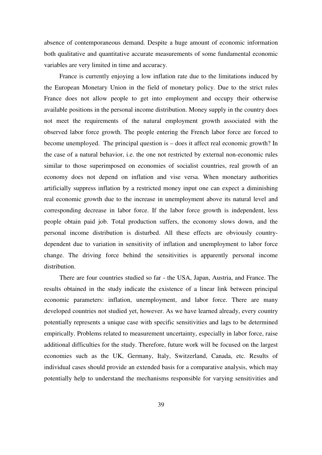absence of contemporaneous demand. Despite a huge amount of economic information both qualitative and quantitative accurate measurements of some fundamental economic variables are very limited in time and accuracy.

France is currently enjoying a low inflation rate due to the limitations induced by the European Monetary Union in the field of monetary policy. Due to the strict rules France does not allow people to get into employment and occupy their otherwise available positions in the personal income distribution. Money supply in the country does not meet the requirements of the natural employment growth associated with the observed labor force growth. The people entering the French labor force are forced to become unemployed. The principal question is – does it affect real economic growth? In the case of a natural behavior, i.e. the one not restricted by external non-economic rules similar to those superimposed on economies of socialist countries, real growth of an economy does not depend on inflation and vise versa. When monetary authorities artificially suppress inflation by a restricted money input one can expect a diminishing real economic growth due to the increase in unemployment above its natural level and corresponding decrease in labor force. If the labor force growth is independent, less people obtain paid job. Total production suffers, the economy slows down, and the personal income distribution is disturbed. All these effects are obviously countrydependent due to variation in sensitivity of inflation and unemployment to labor force change. The driving force behind the sensitivities is apparently personal income distribution.

There are four countries studied so far - the USA, Japan, Austria, and France. The results obtained in the study indicate the existence of a linear link between principal economic parameters: inflation, unemployment, and labor force. There are many developed countries not studied yet, however. As we have learned already, every country potentially represents a unique case with specific sensitivities and lags to be determined empirically. Problems related to measurement uncertainty, especially in labor force, raise additional difficulties for the study. Therefore, future work will be focused on the largest economies such as the UK, Germany, Italy, Switzerland, Canada, etc. Results of individual cases should provide an extended basis for a comparative analysis, which may potentially help to understand the mechanisms responsible for varying sensitivities and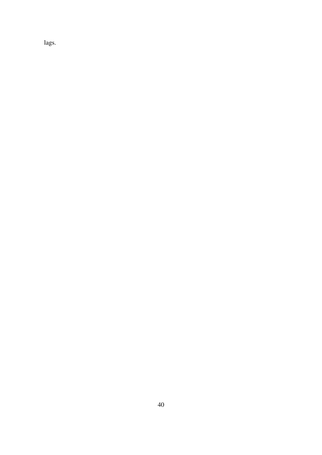lags.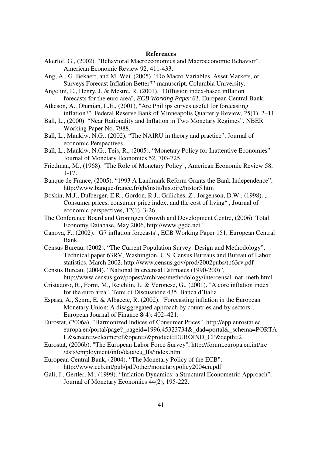## **References**

- Akerlof, G., (2002). "Behavioral Macroeconomics and Macroeconomic Behavior". American Economic Review 92, 411-433.
- Ang, A., G. Bekaert, and M. Wei. (2005). "Do Macro Variables, Asset Markets, or Surveys Forecast Inflation Better?" manuscript, Columbia University.
- Angelini, E., Henry, J. & Mestre, R. (2001). "Diffusion index-based inflation forecasts for the euro area", *ECB Working Paper 61*, European Central Bank.
- Atkeson, A., Ohanian, L.E., (2001), "Are Phillips curves useful for forecasting inflation?", Federal Reserve Bank of Minneapolis Quarterly Review, 25(1), 2–11.
- Ball, L., (2000). "Near Rationality and Inflation in Two Monetary Regimes". NBER Working Paper No. 7988.
- Ball, L., Mankiw, N.G., (2002). "The NAIRU in theory and practice", Journal of economic Perspectives.
- Ball, L., Mankiw, N.G., Teis, R., (2005). "Monetary Policy for Inattentive Economies". Journal of Monetary Economics 52, 703-725.
- Friedman, M., (1968). "The Role of Monetary Policy", American Economic Review 58, 1-17.
- Banque de France, (2005). "1993 A Landmark Reform Grants the Bank Independence", http://www.banque-france.fr/gb/instit/histoire/histor5.htm
- Boskin, M.J., Dulberger, E.R., Gordon, R.J., Griliches, Z., Jorgenson, D.W., (1998)., Consumer prices, consumer price index, and the cost of living" , Journal of economic perspectives, 12(1), 3-26.
- The Conference Board and Groningen Growth and Development Centre, (2006). Total Economy Database, May 2006, http://www.ggdc.net"
- Canova, F., (2002). "G7 inflation forecasts", ECB Working Paper 151, European Central Bank.
- Census Bureau, (2002). "The Current Population Survey: Design and Methodology", Technical paper 63RV, Washington, U.S. Census Bureaus and Bureau of Labor statistics, March 2002. http://www.census.gov/prod/2002pubs/tp63rv.pdf
- Census Bureau, (2004). "National Intercensal Estimates (1990-200)", http://www.census.gov/popest/archives/methodology/intercensal\_nat\_meth.html
- Cristadoro, R., Forni, M., Reichlin, L. & Veronese, G., (2001). "A core inflation index for the euro area", Temi di Discussione 435, Banca d'Italia.
- Espasa, A., Senra, E. & Albacete, R. (2002). "Forecasting inflation in the European Monetary Union: A disaggregated approach by countries and by sectors", European Journal of Finance **8**(4): 402–421.
- Eurostat, (2006a). "Harmonized Indices of Consumer Prices", http://epp.eurostat.ec. europa.eu/portal/page?\_pageid=1996,45323734&\_dad=portal&\_schema=PORTA L&screen=welcomeref&open=/&product=EUROIND\_CP&depth=2
- Eurostat, (2006b). "The European Labor Force Survey", http://forum.europa.eu.int/irc /dsis/employment/info/data/eu\_lfs/index.htm
- European Central Bank, (2004). "The Monetary Policy of the ECB", http://www.ecb.int/pub/pdf/other/monetarypolicy2004en.pdf
- Gali, J., Gertler, M., (1999). "Inflation Dynamics: a Structural Econometric Approach". Journal of Monetary Economics 44(2), 195-222.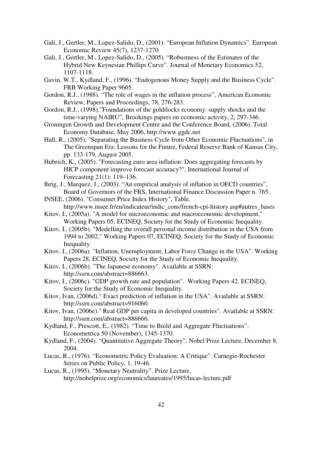- Gali, J., Gertler, M., Lopez-Salido, D., (2001). "European Inflation Dynamics". European Economic Review 45(7), 1237-1270.
- Gali, J., Gertler, M., Lopez-Salido, D., (2005). "Robustness of the Estimates of the Hybrid New Keynesian Phillips Curve". Journal of Monetary Economics 52, 1107-1118.
- Gavin, W.T., Kydland, F., (1996). "Endogenous Money Supply and the Business Cycle". FRB Working Paper 9605.
- Gordon, R.J., (1988). "The role of wages in the inflation process", American Economic Review, Papers and Proceedings, 78, 276-283.
- Gordon, R.J., (1998)."Foundations of the goldilocks economy: supply shocks and the time-varying NAIRU", Brookings papers on economic activity, 2, 297-346.
- Groningen Growth and Development Centre and the Conference Board, (2006). Total Economy Database, May 2006, http://www.ggdc.net
- Hall, R., (2005). "Separating the Business Cycle from Other Economic Fluctuations", in The Greenspan Era: Lessons for the Future, Federal Reserve Bank of Kansas City, pp. 133-179, August 2005.
- Hubrich, K., (2005). "Forecasting euro area inflation: Does aggregating forecasts by HICP component improve forecast accuracy?", International Journal of Forecasting 21(1): 119–136.
- Ihrig, J., Marquez, J., (2003). "An empirical analysis of inflation in OECD countries", Board of Governors of the FRS, International Finance Discussion Paper n. 765.
- INSEE, (2006). "Consumer Price Index History", Table. http://www.insee.fr/en/indicateur/indic\_cons/french-cpi-history.asp#autres\_bases
- Kitov, I., (2005a). "A model for microeconomic and macroeconomic development," Working Papers 05, ECINEQ, Society for the Study of Economic Inequality.
- Kitov, I., (2005b). "Modelling the overall personal income distribution in the USA from 1994 to 2002," Working Papers 07, ECINEQ, Society for the Study of Economic Inequality.
- Kitov, I., (2006a). "Inflation, Unemployment, Labor Force Change in the USA". Working Papers 28, ECINEQ, Society for the Study of Economic Inequality.
- Kitov, I., (2006b). "The Japanese economy". Available at SSRN: http://ssrn.com/abstract=886663.
- Kitov, I., (2006c). "GDP growth rate and population". Working Papers 42, ECINEQ, Society for the Study of Economic Inequality.
- Kitov, Ivan, (2006d)." Exact prediction of inflation in the USA". Available at SSRN: http://ssrn.com/abstract=916060.
- Kitov, Ivan, (2006e)." Real GDP per capita in developed countries". Available at SSRN: http://ssrn.com/abstract=886666.
- Kydland, F., Prescott, E., (1982). "Time to Build and Aggregate Fluctuations". Econometrica 50 (November), 1345-1370.
- Kydland, F., (2004). "Quantitative Aggregate Theory". Nobel Prize Lecture, December 8, 2004.
- Lucas, R., (1976). "Econometric Policy Evaluation: A Critique". Carnegie-Rochester Series on Public Policy, 1, 19-46.
- Lucas, R., (1995). "Monetary Neutrality", Prize Lecture, http://nobelprize.org/economics/laureates/1995/lucas-lecture.pdf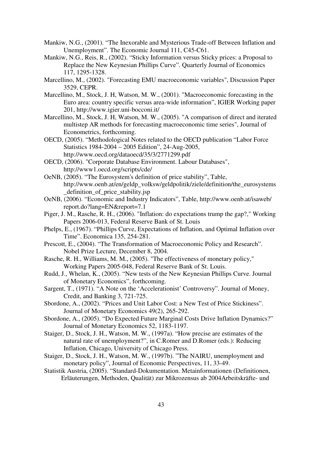- Mankiw, N.G., (2001). "The Inexorable and Mysterious Trade-off Between Inflation and Unemployment". The Economic Journal 111, C45-C61.
- Mankiw, N.G., Reis, R., (2002). "Sticky Information versus Sticky prices: a Proposal to Replace the New Keynesian Phillips Curve". Quarterly Journal of Economics 117, 1295-1328.
- Marcellino, M., (2002). "Forecasting EMU macroeconomic variables", Discussion Paper 3529, CEPR.
- Marcellino, M., Stock, J. H, Watson, M. W., (2001). "Macroeconomic forecasting in the Euro area: country specific versus area-wide information", IGIER Working paper 201, http://www.igier.uni-bocconi.it/
- Marcellino, M., Stock, J. H, Watson, M. W., (2005). "A comparison of direct and iterated multistep AR methods for forecasting macroeconomic time series", Journal of Econometrics, forthcoming.
- OECD, (2005). "Methodological Notes related to the OECD publication "Labor Force Statistics 1984-2004 – 2005 Edition", 24-Aug-2005, http://www.oecd.org/dataoecd/35/3/2771299.pdf
- OECD, (2006). "Corporate Database Environment. Labour Databases", http://www1.oecd.org/scripts/cde/
- OeNB, (2005). "The Eurosystem's definition of price stability", Table, http://www.oenb.at/en/geldp\_volksw/geldpolitik/ziele/definition/the\_eurosystems \_definition\_of\_price\_stability.jsp
- OeNB, (2006). "Economic and Industry Indicators", Table, http://www.oenb.at/isaweb/ report.do?lang=EN&report=7.1
- Piger, J. M., Rasche, R. H., (2006). "Inflation: do expectations trump the gap?," Working Papers 2006-013, Federal Reserve Bank of St. Louis
- Phelps, E., (1967). "Phillips Curve, Expectations of Inflation, and Optimal Inflation over Time". Economica 135, 254-281.
- Prescott, E., (2004). "The Transformation of Macroeconomic Policy and Research". Nobel Prize Lecture, December 8, 2004.
- Rasche, R. H., Williams, M. M., (2005). "The effectiveness of monetary policy," Working Papers 2005-048, Federal Reserve Bank of St. Louis.
- Rudd, J., Whelan, K., (2005). "New tests of the New Keynesian Phillips Curve. Journal of Monetary Economics", forthcoming.
- Sargent, T., (1971). "A Note on the 'Accelerationist' Controversy". Journal of Money, Credit, and Banking 3, 721-725.
- Sbordone, A., (2002). "Prices and Unit Labor Cost: a New Test of Price Stickiness". Journal of Monetary Economics 49(2), 265-292.
- Sbordone, A., (2005). "Do Expected Future Marginal Costs Drive Inflation Dynamics?" Journal of Monetary Economics 52, 1183-1197.
- Staiger, D., Stock, J. H., Watson, M. W., (1997a). "How precise are estimates of the natural rate of unemployment?", in C.Romer and D.Romer (eds.): Reducing Inflation, Chicago, University of Chicago Press.
- Staiger, D., Stock, J. H., Watson, M. W., (1997b). "The NAIRU, unemployment and monetary policy", Journal of Economic Perspectives, 11, 33-49.
- Statistik Austria, (2005). "Standard-Dokumentation. Metainformationen (Definitionen, Erläuterungen, Methoden, Qualität) zur Mikrozensus ab 2004Arbeitskräfte- und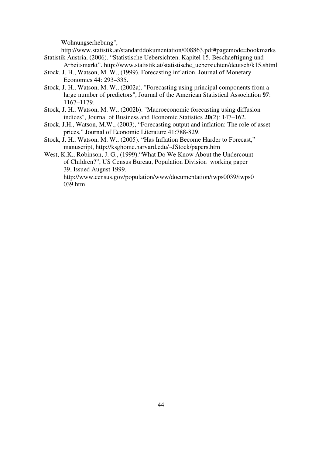Wohnungserhebung",

http://www.statistik.at/standarddokumentation/008863.pdf#pagemode=bookmarks Statistik Austria, (2006). "Statistische Uebersichten. Kapitel 15. Beschaeftigung und

- Arbeitsmarkt". http://www.statistik.at/statistische\_uebersichten/deutsch/k15.shtml Stock, J. H., Watson, M. W., (1999). Forecasting inflation, Journal of Monetary Economics 44: 293–335.
- Stock, J. H., Watson, M. W., (2002a). "Forecasting using principal components from a large number of predictors", Journal of the American Statistical Association **97**: 1167–1179.
- Stock, J. H., Watson, M. W., (2002b). "Macroeconomic forecasting using diffusion indices", Journal of Business and Economic Statistics **20**(2): 147–162.
- Stock, J.H., Watson, M.W., (2003), "Forecasting output and inflation: The role of asset prices," Journal of Economic Literature 41:788-829.
- Stock, J. H., Watson, M. W., (2005). "Has Inflation Become Harder to Forecast," manuscript, http://ksghome.harvard.edu/~JStock/papers.htm
- West, K.K., Robinson, J. G., (1999)."What Do We Know About the Undercount of Children?", US Census Bureau, Population Division working paper 39, Issued August 1999. http://www.census.gov/population/www/documentation/twps0039/twps0

039.html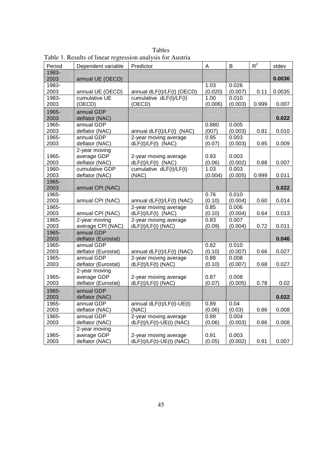| Period        | Dependent variable  | Predictor                  | A       | B       | $R^2$ | stdev  |
|---------------|---------------------|----------------------------|---------|---------|-------|--------|
| 1983-         |                     |                            |         |         |       |        |
| 2003          | annual UE (OECD)    |                            |         |         |       | 0.0036 |
| 1983-         |                     |                            | 1.03    | 0.026   |       |        |
| 2003          | annual UE (OECD)    | annual dLF(t)/LF(t) (OECD) | (0.020) | (0.007) | 0.11  | 0.0035 |
| 1983-         | cumulative UE       | cumulative dLF(t)/LF(t)    | 1.00    | 0.010   |       |        |
| 2003          | (OECD)              | (OECD)                     | (0.006) | (0.003) | 0.999 | 0.007  |
| 1965-         | annual GDP          |                            |         |         |       |        |
| 2003          | deflator (NAC)      |                            |         |         |       | 0.022  |
| 1965-         | annual GDP          |                            | 0.880   | 0.005   |       |        |
| 2003          | deflator (NAC)      | annual dLF(t)/LF(t) (NAC)  | (007)   | (0.003) | 0.81  | 0.010  |
| 1965-         | annual GDP          | 2-year moving average      | 0.95    | 0.003   |       |        |
| 2003          | deflator (NAC)      | dLF(t)/LF(t) (NAC)         | (0.07)  | (0.003) | 0.85  | 0.009  |
|               | 2-year moving       |                            |         |         |       |        |
| 1965-         | average GDP         | 2-year moving average      | 0.93    | 0.003   |       |        |
| 2003          | deflator (NAC)      | $dLF(t)/LF(t)$ (NAC)       | (0.06)  | (0.002) | 0.88  | 0.007  |
| 1960-         | cumulative GDP      | cumulative dLF(t)/LF(t)    | 1.03    | 0.003   |       |        |
| 2003<br>1965- | deflator (NAC)      | (NAC)                      | (0.004) | (0.005) | 0.999 | 0.011  |
| 2003          | annual CPI (NAC)    |                            |         |         |       | 0.022  |
| 1965-         |                     |                            | 0.76    | 0.010   |       |        |
| 2003          | annual CPI (NAC)    | annual dLF(t)/LF(t) (NAC)  | (0.10)  | (0.004) | 0.60  | 0.014  |
| 1965-         |                     | 2-year moving average      | 0.85    | 0.006   |       |        |
| 2003          | annual CPI (NAC)    | $dLF(t)/LF(t)$ (NAC)       | (0.10)  | (0.004) | 0.64  | 0.013  |
| 1965-         | 2-year moving       | 2-year moving average      | 0.83    | 0.007   |       |        |
| 2003          | average CPI (NAC)   | $dLF(t)/LF(t)$ (NAC)       | (0.09)  | (0.004) | 0.72  | 0.011  |
| 1965-         | annual GDP          |                            |         |         |       |        |
| 2003          | deflator (Eurostat) |                            |         |         |       | 0.046  |
| 1965-         | annual GDP          |                            | 0.82    | 0.010   |       |        |
| 2003          | deflator (Eurostat) | annual dLF(t)/LF(t) (NAC)  | (0.10)  | (0.007) | 0.66  | 0.027  |
| 1965-         | annual GDP          | 2-year moving average      | 0.88    | 0.008   |       |        |
| 2003          | deflator (Eurostat) | dLF(t)/LF(t) (NAC)         | (0.10)  | (0.007) | 0.68  | 0.027  |
|               | 2-year moving       |                            |         |         |       |        |
| 1965-         | average GDP         | 2-year moving average      | 0.87    | 0.008   |       |        |
| 2003          | deflator (Eurostat) | $dLF(t)/LF(t)$ (NAC)       | (0.07)  | (0.005) | 0.78  | 0.02   |
| 1965-         | annual GDP          |                            |         |         |       |        |
| 2003          | deflator (NAC)      |                            |         |         |       | 0.022  |
| 1965-         | annual GDP          | annual dLF(t)/LF(t)-UE(t)  | 0.89    | 0.04    |       |        |
| 2003          | deflator (NAC)      | (NAC)                      | (0.06)  | (0.03)  | 0.86  | 0.008  |
| 1965-         | annual GDP          | 2-year moving average      | 0.89    | 0.004   |       |        |
| 2003          | deflator (NAC)      | $dLF(t)/LF(t)-UE(t)$ (NAC) | (0.06)  | (0.003) | 0.86  | 0.008  |
|               | 2-year moving       |                            |         |         |       |        |
| 1965-         | average GDP         | 2-year moving average      | 0.91    | 0.003   |       |        |
| 2003          | deflator (NAC)      | $dLF(t)/LF(t)-UE(t)$ (NAC) | (0.05)  | (0.002) | 0.91  | 0.007  |

Tables Table 1. Results of linear regression analysis for Austria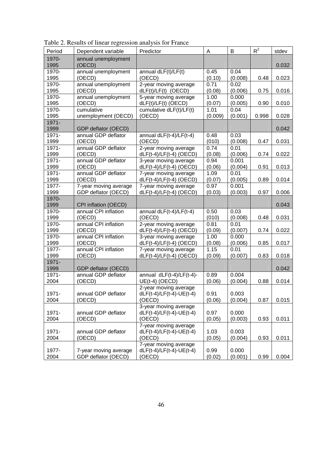| Period           | Dependent variable                         | Predictor                                          | A              | B                | $R^2$ | stdev |
|------------------|--------------------------------------------|----------------------------------------------------|----------------|------------------|-------|-------|
| 1970-            | annual unemployment                        |                                                    |                |                  |       |       |
| 1995             | (OECD)                                     |                                                    |                |                  |       | 0.032 |
| 1970-            | annual unemployment                        | annual dLF(t)/LF(t)                                | 0.45           | 0.04             |       |       |
| 1995             | (OECD)                                     | (OECD)                                             | (0.10)         | (0.008)          | 0.48  | 0.023 |
| 1970-<br>1995    | annual unemployment<br>(OECD)              | 2-year moving average<br>dLF(t)/LF(t) (OECD)       | 0.71<br>(0.08) | 0.02<br>(0.006)  | 0.75  | 0.016 |
| 1970-            | annual unemployment                        | 5-year moving average                              | 1.00           | 0.000            |       |       |
| 1995             | (OECD)                                     | dLF(t)/LF(t) (OECD)                                | (0.07)         | (0.005)          | 0.90  | 0.010 |
| 1970-            | cumulative                                 | cumulative dLF(t)/LF(t)                            | 1.01           | 0.04             |       |       |
| 1995             | unemployment (OECD)                        | (OECD)                                             | (0.009)        | (0.001)          | 0.998 | 0.028 |
| 1971-            |                                            |                                                    |                |                  |       |       |
| 1999             | GDP deflator (OECD)                        |                                                    |                |                  |       | 0.042 |
| $1971 -$         | annual GDP deflator                        | annual dLF(t-4)/LF(t-4)                            | 0.48           | 0.03             |       |       |
| 1999             | (OECD)                                     | (OECD)                                             | (010)          | (0.008)          | 0.47  | 0.031 |
| $1971 -$         | annual GDP deflator                        | 2-year moving average<br>$dLF(t-4)/LF(t-4)$ (OECD) | 0.74           | 0.01             |       |       |
| 1999<br>$1971 -$ | (OECD)<br>annual GDP deflator              | 3-year moving average                              | (0.08)<br>0.94 | (0.006)<br>0.001 | 0.74  | 0.022 |
| 1999             | (OECD)                                     | dLF(t-4)/LF(t-4) (OECD)                            | (0.06)         | (0.004)          | 0.91  | 0.013 |
| $1971 -$         | annual GDP deflator                        | 7-year moving average                              | 1.09           | 0.01             |       |       |
| 1999             | (OECD)                                     | $dLF(t-4)/LF(t-4)$ (OECD)                          | (0.07)         | (0.005)          | 0.89  | 0.014 |
| 1977-            | 7-year moving average                      | 7-year moving average                              | 0.97           | 0.001            |       |       |
| 1999             | GDP deflator (OECD)                        | $dLF(t-4)/LF(t-4)$ (OECD)                          | (0.03)         | (0.003)          | 0.97  | 0.006 |
| 1970-            |                                            |                                                    |                |                  |       |       |
| 1999             | CPI inflation (OECD)                       |                                                    |                |                  |       | 0.043 |
| 1970-            | annual CPI inflation                       | annual dLF(t-4)/LF(t-4)                            | 0.50           | 0.03             |       |       |
| 1999<br>1970-    | (OECD)<br>annual CPI inflation             | (OECD)<br>2-year moving average                    | (010)<br>0.81  | (0.008)<br>0.01  | 0.48  | 0.031 |
| 1999             | (OECD)                                     | $dLF(t-4)/LF(t-4)$ (OECD)                          | (0.09)         | (0.007)          | 0.74  | 0.022 |
| 1970-            | annual CPI inflation                       | 3-year moving average                              | 1.00           | 0.000            |       |       |
| 1999             | (OECD)                                     | dLF(t-4)/LF(t-4) (OECD)                            | (0.08)         | (0.006)          | 0.85  | 0.017 |
| 1977-            | annual CPI inflation                       | 7-year moving average                              | 1.15           | 0.01             |       |       |
| 1999             | (OECD)                                     | dLF(t-4)/LF(t-4) (OECD)                            | (0.09)         | (0.007)          | 0.83  | 0.018 |
| 1971-            |                                            |                                                    |                |                  |       |       |
| 1999             | GDP deflator (OECD)<br>annual GDP deflator |                                                    | 0.89           | 0.004            |       | 0.042 |
| 1971-<br>2004    | (OECD)                                     | annual dLF(t-4)/LF(t-4)-<br>UE(t-4) (OECD)         | (0.06)         | (0.004)          | 0.88  | 0.014 |
|                  |                                            | 2-year moving average                              |                |                  |       |       |
| 1971-            | annual GDP deflator                        | dLF(t-4)/LF(t-4)-UE(t-4)                           | 0.91           | 0.003            |       |       |
| 2004             | (OECD)                                     | (OECD)                                             | (0.06)         | (0.004)          | 0.87  | 0.015 |
|                  |                                            | 3-year moving average                              |                |                  |       |       |
| 1971-            | annual GDP deflator                        | dLF(t-4)/LF(t-4)-UE(t-4)                           | 0.97           | 0.000            |       |       |
| 2004             | (OECD)                                     | (OECD)                                             | (0.05)         | (0.003)          | 0.93  | 0.011 |
|                  |                                            | 7-year moving average                              |                |                  |       |       |
| 1971-            | annual GDP deflator                        | dLF(t-4)/LF(t-4)-UE(t-4)                           | 1.03           | 0.003            |       |       |
| 2004             | (OECD)                                     | (OECD)<br>7-year moving average                    | (0.05)         | (0.004)          | 0.93  | 0.011 |
| 1977-            | 7-year moving average                      | dLF(t-4)/LF(t-4)-UE(t-4)                           | 0.99           | 0.000            |       |       |
| 2004             | GDP deflator (OECD)                        | (OECD)                                             | (0.02)         | (0.001)          | 0.99  | 0.004 |

Table 2. Results of linear regression analysis for France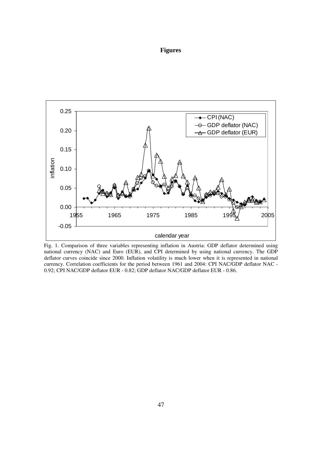# **Figures**



Fig. 1. Comparison of three variables representing inflation in Austria: GDP deflator determined using national currency (NAC) and Euro (EUR), and CPI determined by using national currency. The GDP deflator curves coincide since 2000. Inflation volatility is much lower when it is represented in national currency. Correlation coefficients for the period between 1961 and 2004: CPI NAC/GDP deflator NAC - 0.92; CPI NAC/GDP deflator EUR - 0.82; GDP deflator NAC/GDP deflator EUR - 0.86.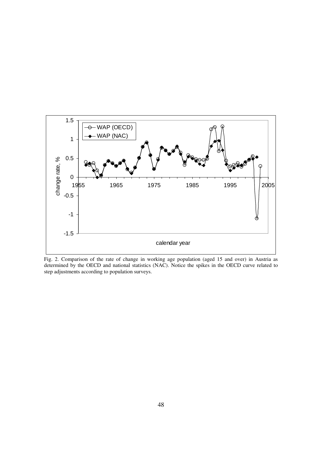

Fig. 2. Comparison of the rate of change in working age population (aged 15 and over) in Austria as determined by the OECD and national statistics (NAC). Notice the spikes in the OECD curve related to step adjustments according to population surveys.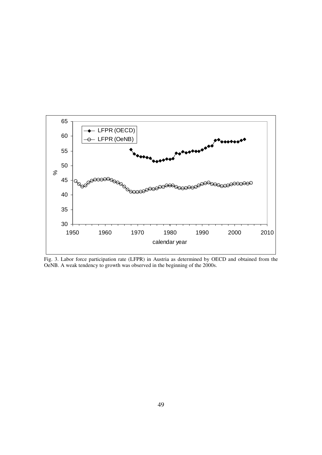

Fig. 3. Labor force participation rate (LFPR) in Austria as determined by OECD and obtained from the OeNB. A weak tendency to growth was observed in the beginning of the 2000s.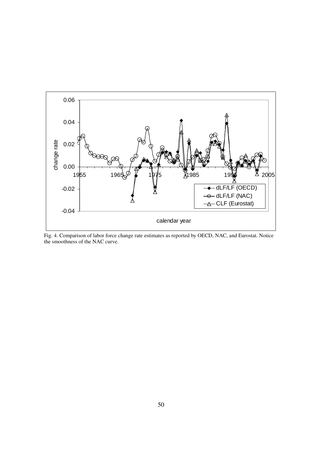

Fig. 4. Comparison of labor force change rate estimates as reported by OECD, NAC, and Eurostat. Notice the smoothness of the NAC curve.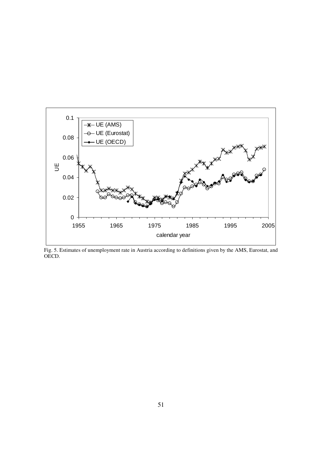

Fig. 5. Estimates of unemployment rate in Austria according to definitions given by the AMS, Eurostat, and OECD.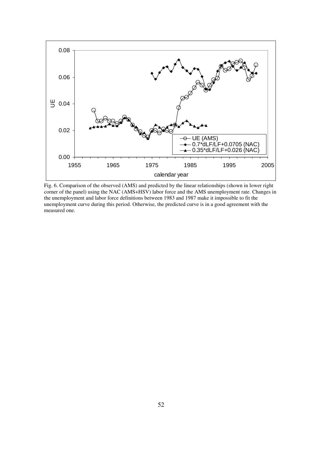

Fig. 6. Comparison of the observed (AMS) and predicted by the linear relationships (shown in lower right corner of the panel) using the NAC (AMS+HSV) labor force and the AMS unemployment rate. Changes in the unemployment and labor force definitions between 1983 and 1987 make it impossible to fit the unemployment curve during this period. Otherwise, the predicted curve is in a good agreement with the measured one.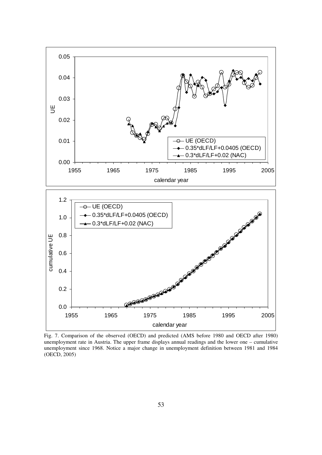

Fig. 7. Comparison of the observed (OECD) and predicted (AMS before 1980 and OECD after 1980) unemployment rate in Austria. The upper frame displays annual readings and the lower one – cumulative unemployment since 1968. Notice a major change in unemployment definition between 1981 and 1984 (OECD, 2005)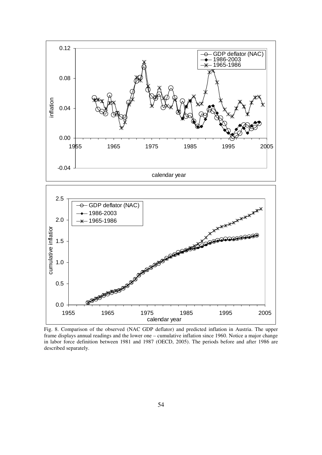

Fig. 8. Comparison of the observed (NAC GDP deflator) and predicted inflation in Austria. The upper frame displays annual readings and the lower one – cumulative inflation since 1960. Notice a major change in labor force definition between 1981 and 1987 (OECD, 2005). The periods before and after 1986 are described separately.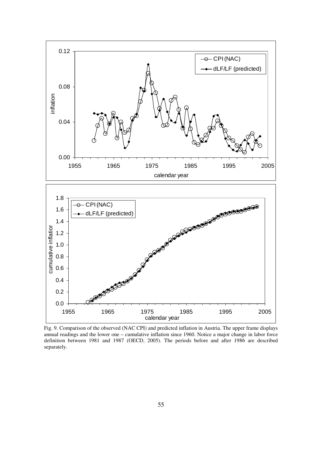

Fig. 9. Comparison of the observed (NAC CPI) and predicted inflation in Austria. The upper frame displays annual readings and the lower one – cumulative inflation since 1960. Notice a major change in labor force definition between 1981 and 1987 (OECD, 2005). The periods before and after 1986 are described separately.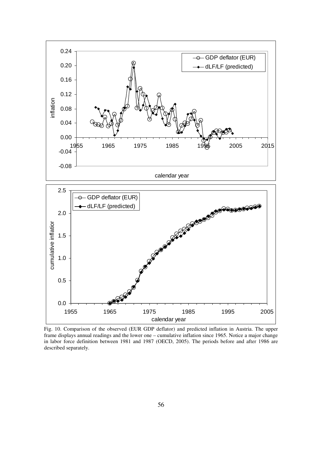

Fig. 10. Comparison of the observed (EUR GDP deflator) and predicted inflation in Austria. The upper frame displays annual readings and the lower one – cumulative inflation since 1965. Notice a major change in labor force definition between 1981 and 1987 (OECD, 2005). The periods before and after 1986 are described separately.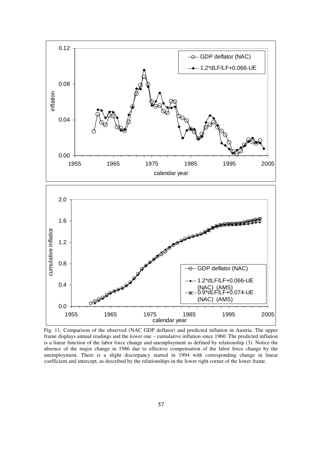

Fig. 11. Comparison of the observed (NAC GDP deflator) and predicted inflation in Austria. The upper frame displays annual readings and the lower one – cumulative inflation since 1960. The predicted inflation is a linear function of the labor force change and unemployment as defined by relationship (3). Notice the absence of the major change in 1986 due to effective compensation of the labor force change by the unemployment. There is a slight discrepancy started in 1994 with corresponding change in linear coefficient and intercept, as described by the relationships in the lower right corner of the lower frame.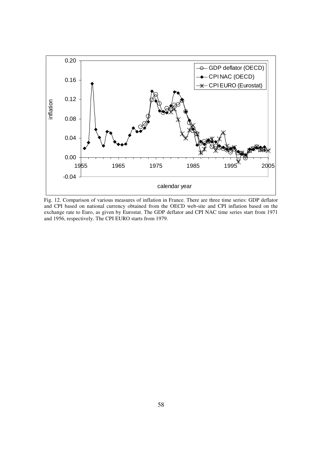

Fig. 12. Comparison of various measures of inflation in France. There are three time series: GDP deflator and CPI based on national currency obtained from the OECD web-site and CPI inflation based on the exchange rate to Euro, as given by Eurostat. The GDP deflator and CPI NAC time series start from 1971 and 1956, respectively. The CPI EURO starts from 1979.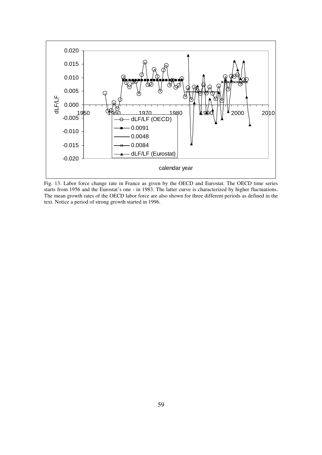

Fig. 13. Labor force change rate in France as given by the OECD and Eurostat. The OECD time series starts from 1956 and the Eurostat's one - in 1983. The latter curve is characterized by higher fluctuations. The mean growth rates of the OECD labor force are also shown for three different periods as defined in the text. Notice a period of strong growth started in 1996.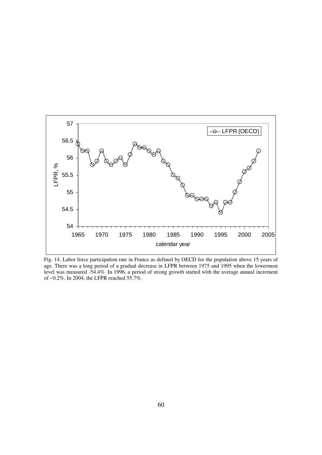

Fig. 14. Labor force participation rate in France as defined by OECD for the population above 15 years of age. There was a long period of a gradual decrease in LFPR between 1975 and 1995 when the lowermost level was measured -54.4%. In 1996, a period of strong growth started with the average annual increment of ~0.2%. In 2004, the LFPR reached 55.7%.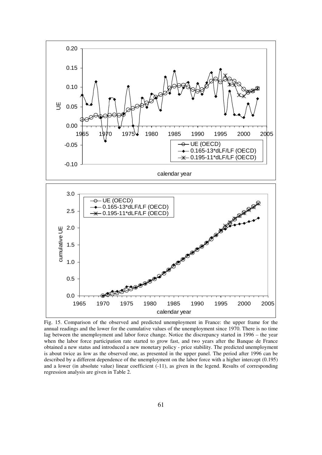

Fig. 15. Comparison of the observed and predicted unemployment in France: the upper frame for the annual readings and the lower for the cumulative values of the unemployment since 1970. There is no time lag between the unemployment and labor force change. Notice the discrepancy started in 1996 – the year when the labor force participation rate started to grow fast, and two years after the Banque de France obtained a new status and introduced a new monetary policy - price stability. The predicted unemployment is about twice as low as the observed one, as presented in the upper panel. The period after 1996 can be described by a different dependence of the unemployment on the labor force with a higher intercept (0.195) and a lower (in absolute value) linear coefficient (-11), as given in the legend. Results of corresponding regression analysis are given in Table 2.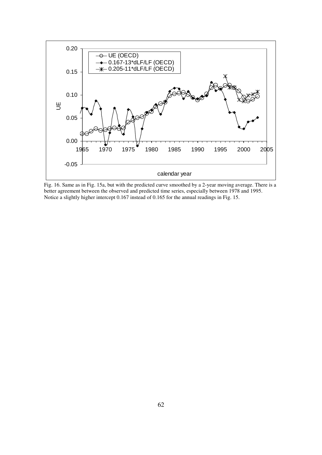

Fig. 16. Same as in Fig. 15a, but with the predicted curve smoothed by a 2-year moving average. There is a better agreement between the observed and predicted time series, especially between 1978 and 1995. Notice a slightly higher intercept 0.167 instead of 0.165 for the annual readings in Fig. 15.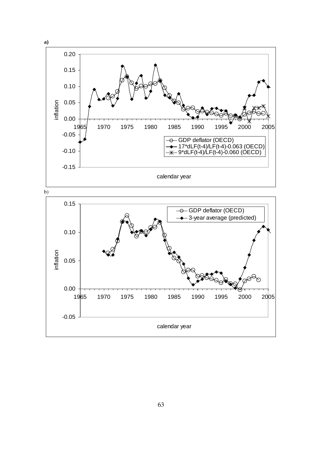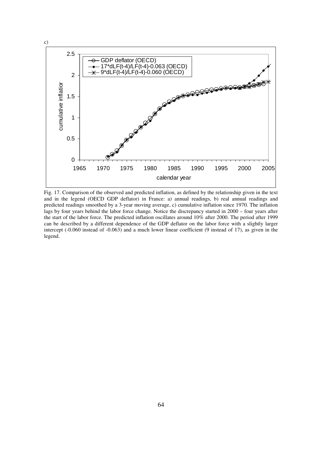

Fig. 17. Comparison of the observed and predicted inflation, as defined by the relationship given in the text and in the legend (OECD GDP deflator) in France: a) annual readings, b) real annual readings and predicted readings smoothed by a 3-year moving average, c) cumulative inflation since 1970. The inflation lags by four years behind the labor force change. Notice the discrepancy started in 2000 – four years after the start of the labor force. The predicted inflation oscillates around 10% after 2000. The period after 1999 can be described by a different dependence of the GDP deflator on the labor force with a slightly larger intercept (-0.060 instead of -0.063) and a much lower linear coefficient (9 instead of 17), as given in the legend.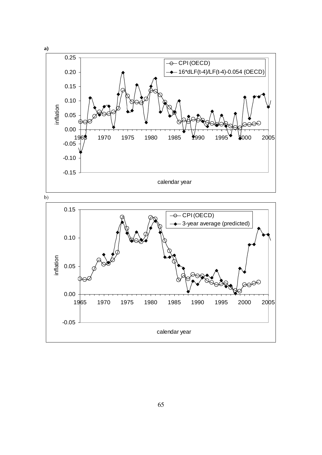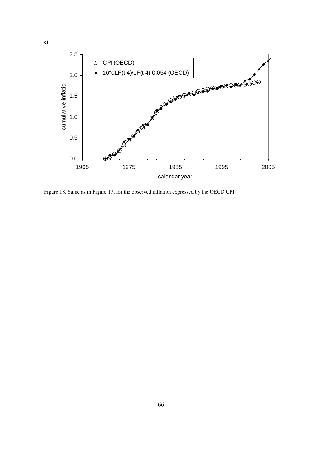

Figure 18. Same as in Figure 17, for the observed inflation expressed by the OECD CPI.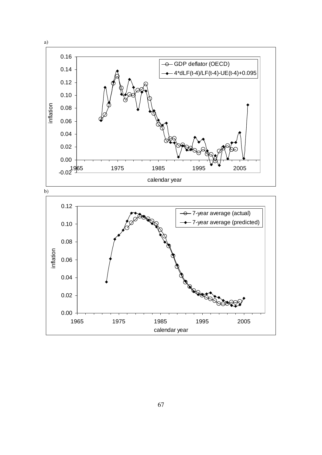